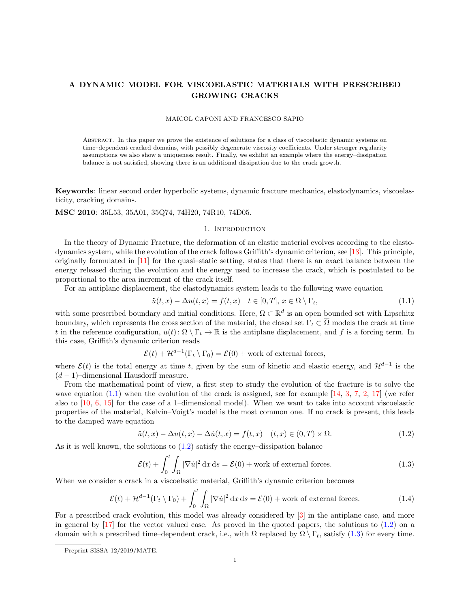# A DYNAMIC MODEL FOR VISCOELASTIC MATERIALS WITH PRESCRIBED GROWING CRACKS

#### MAICOL CAPONI AND FRANCESCO SAPIO

Abstract. In this paper we prove the existence of solutions for a class of viscoelastic dynamic systems on time–dependent cracked domains, with possibly degenerate viscosity coefficients. Under stronger regularity assumptions we also show a uniqueness result. Finally, we exhibit an example where the energy–dissipation balance is not satisfied, showing there is an additional dissipation due to the crack growth.

Keywords: linear second order hyperbolic systems, dynamic fracture mechanics, elastodynamics, viscoelasticity, cracking domains.

MSC 2010: 35L53, 35A01, 35Q74, 74H20, 74R10, 74D05.

## 1. INTRODUCTION

In the theory of Dynamic Fracture, the deformation of an elastic material evolves according to the elastodynamics system, while the evolution of the crack follows Griffith's dynamic criterion, see [\[13\]](#page-19-0). This principle, originally formulated in [\[11\]](#page-19-1) for the quasi–static setting, states that there is an exact balance between the energy released during the evolution and the energy used to increase the crack, which is postulated to be proportional to the area increment of the crack itself.

For an antiplane displacement, the elastodynamics system leads to the following wave equation

<span id="page-0-0"></span>
$$
\ddot{u}(t,x) - \Delta u(t,x) = f(t,x) \quad t \in [0,T], \, x \in \Omega \setminus \Gamma_t,\tag{1.1}
$$

with some prescribed boundary and initial conditions. Here,  $\Omega \subset \mathbb{R}^d$  is an open bounded set with Lipschitz boundary, which represents the cross section of the material, the closed set  $\Gamma_t \subset \overline{\Omega}$  models the crack at time t in the reference configuration,  $u(t): \Omega \setminus \Gamma_t \to \mathbb{R}$  is the antiplane displacement, and f is a forcing term. In this case, Griffith's dynamic criterion reads

 $\mathcal{E}(t) + \mathcal{H}^{d-1}(\Gamma_t \setminus \Gamma_0) = \mathcal{E}(0) + \text{work of external forces},$ 

where  $\mathcal{E}(t)$  is the total energy at time t, given by the sum of kinetic and elastic energy, and  $\mathcal{H}^{d-1}$  is the  $(d-1)$ –dimensional Hausdorff measure.

From the mathematical point of view, a first step to study the evolution of the fracture is to solve the wave equation  $(1.1)$  when the evolution of the crack is assigned, see for example  $[14, 3, 7, 2, 17]$  $[14, 3, 7, 2, 17]$  $[14, 3, 7, 2, 17]$  $[14, 3, 7, 2, 17]$  $[14, 3, 7, 2, 17]$  $[14, 3, 7, 2, 17]$  $[14, 3, 7, 2, 17]$  $[14, 3, 7, 2, 17]$  (we refer also to [\[10,](#page-19-4) [6,](#page-18-3) [15\]](#page-19-5) for the case of a 1–dimensional model). When we want to take into account viscoelastic properties of the material, Kelvin–Voigt's model is the most common one. If no crack is present, this leads to the damped wave equation

<span id="page-0-1"></span>
$$
\ddot{u}(t,x) - \Delta u(t,x) - \Delta \dot{u}(t,x) = f(t,x) \quad (t,x) \in (0,T) \times \Omega. \tag{1.2}
$$

As it is well known, the solutions to  $(1.2)$  satisfy the energy-dissipation balance

<span id="page-0-2"></span>
$$
\mathcal{E}(t) + \int_0^t \int_{\Omega} |\nabla \dot{u}|^2 \, \mathrm{d}x \, \mathrm{d}s = \mathcal{E}(0) + \text{work of external forces.} \tag{1.3}
$$

When we consider a crack in a viscoelastic material, Griffith's dynamic criterion becomes

<span id="page-0-3"></span>
$$
\mathcal{E}(t) + \mathcal{H}^{d-1}(\Gamma_t \setminus \Gamma_0) + \int_0^t \int_{\Omega} |\nabla \dot{u}|^2 \, \mathrm{d}x \, \mathrm{d}s = \mathcal{E}(0) + \text{work of external forces.} \tag{1.4}
$$

For a prescribed crack evolution, this model was already considered by [\[3\]](#page-18-0) in the antiplane case, and more in general by [\[17\]](#page-19-3) for the vector valued case. As proved in the quoted papers, the solutions to [\(1.2\)](#page-0-1) on a domain with a prescribed time–dependent crack, i.e., with  $\Omega$  replaced by  $\Omega \setminus \Gamma_t$ , satisfy [\(1.3\)](#page-0-2) for every time.

Preprint SISSA 12/2019/MATE.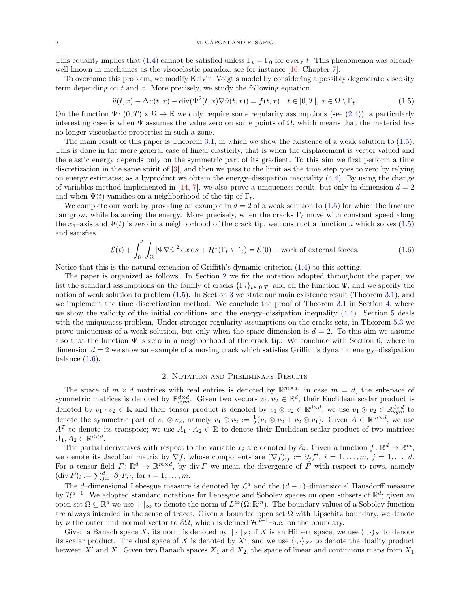This equality implies that [\(1.4\)](#page-0-3) cannot be satisfied unless  $\Gamma_t = \Gamma_0$  for every t. This phenomenon was already well known in mechaincs as the viscoelastic paradox, see for instance [\[16,](#page-19-6) Chapter 7].

To overcome this problem, we modify Kelvin–Voigt's model by considering a possibly degenerate viscosity term depending on  $t$  and  $x$ . More precisely, we study the following equation

<span id="page-1-0"></span>
$$
\ddot{u}(t,x) - \Delta u(t,x) - \text{div}(\Psi^2(t,x)\nabla\dot{u}(t,x)) = f(t,x) \quad t \in [0,T], \, x \in \Omega \setminus \Gamma_t. \tag{1.5}
$$

On the function  $\Psi: (0, T) \times \Omega \to \mathbb{R}$  we only require some regularity assumptions (see [\(2.4\)](#page-2-0)); a particularly interesting case is when  $\Psi$  assumes the value zero on some points of  $\Omega$ , which means that the material has no longer viscoelastic properties in such a zone.

The main result of this paper is Theorem [3.1,](#page-4-0) in which we show the existence of a weak solution to [\(1.5\)](#page-1-0). This is done in the more general case of linear elasticity, that is when the displacement is vector valued and the elastic energy depends only on the symmetric part of its gradient. To this aim we first perform a time discretization in the same spirit of [\[3\]](#page-18-0), and then we pass to the limit as the time step goes to zero by relying on energy estimates; as a byproduct we obtain the energy–dissipation inequality  $(4.4)$ . By using the change of variables method implemented in [\[14,](#page-19-2) [7\]](#page-18-1), we also prove a uniqueness result, but only in dimension  $d = 2$ and when  $\Psi(t)$  vanishes on a neighborhood of the tip of  $\Gamma_t$ .

We complete our work by providing an example in  $d = 2$  of a weak solution to [\(1.5\)](#page-1-0) for which the fracture can grow, while balancing the energy. More precisely, when the cracks  $\Gamma_t$  move with constant speed along the  $x_1$ –axis and  $\Psi(t)$  is zero in a neighborhood of the crack tip, we construct a function u which solves [\(1.5\)](#page-1-0) and satisfies

<span id="page-1-2"></span>
$$
\mathcal{E}(t) + \int_0^t \int_{\Omega} |\Psi \nabla \dot{u}|^2 \, \mathrm{d}x \, \mathrm{d}s + \mathcal{H}^1(\Gamma_t \setminus \Gamma_0) = \mathcal{E}(0) + \text{work of external forces.} \tag{1.6}
$$

Notice that this is the natural extension of Griffith's dynamic criterion [\(1.4\)](#page-0-3) to this setting.

The paper is organized as follows. In Section [2](#page-1-1) we fix the notation adopted throughout the paper, we list the standard assumptions on the family of cracks  $\{\Gamma_t\}_{t\in[0,T]}$  and on the function  $\Psi$ , and we specify the notion of weak solution to problem  $(1.5)$ . In Section [3](#page-4-1) we state our main existence result (Theorem [3.1\)](#page-4-0), and we implement the time discretization method. We conclude the proof of Theorem [3.1](#page-4-0) in Section [4,](#page-9-0) where we show the validity of the initial conditions and the energy–dissipation inequality [\(4.4\)](#page-10-0). Section [5](#page-12-0) deals with the uniqueness problem. Under stronger regularity assumptions on the cracks sets, in Theorem [5.3](#page-15-0) we prove uniqueness of a weak solution, but only when the space dimension is  $d = 2$ . To this aim we assume also that the function  $\Psi$  is zero in a neighborhood of the crack tip. We conclude with Section [6,](#page-16-0) where in dimension  $d = 2$  we show an example of a moving crack which satisfies Griffith's dynamic energy–dissipation balance  $(1.6)$ .

## 2. Notation and Preliminary Results

<span id="page-1-1"></span>The space of  $m \times d$  matrices with real entries is denoted by  $\mathbb{R}^{m \times d}$ ; in case  $m = d$ , the subspace of symmetric matrices is denoted by  $\mathbb{R}^{d \times d}_{sym}$ . Given two vectors  $v_1, v_2 \in \mathbb{R}^d$ , their Euclidean scalar product is denoted by  $v_1 \cdot v_2 \in \mathbb{R}$  and their tensor product is denoted by  $v_1 \otimes v_2 \in \mathbb{R}^{d \times d}$ ; we use  $v_1 \odot v_2 \in \mathbb{R}^{d \times d}_{sym}$  to denote the symmetric part of  $v_1 \otimes v_2$ , namely  $v_1 \odot v_2 := \frac{1}{2}(v_1 \otimes v_2 + v_2 \otimes v_1)$ . Given  $A \in \mathbb{R}^{m \times d}$ , we use  $A^T$  to denote its transpose; we use  $A_1 \cdot A_2 \in \mathbb{R}$  to denote their Euclidean scalar product of two matrices  $A_1, A_2 \in \mathbb{R}^{d \times d}$ .

The partial derivatives with respect to the variable  $x_i$  are denoted by  $\partial_i$ . Given a function  $f: \mathbb{R}^d \to \mathbb{R}^m$ , we denote its Jacobian matrix by  $\nabla f$ , whose components are  $(\nabla f)_{ij} := \partial_j f^i$ ,  $i = 1, \ldots, m, j = 1, \ldots, d$ . For a tensor field  $F: \mathbb{R}^d \to \mathbb{R}^{m \times d}$ , by div F we mean the divergence of F with respect to rows, namely  $(\text{div } F)_i := \sum_{j=1}^d \partial_j F_{ij}$ , for  $i = 1, \ldots, m$ .

The d–dimensional Lebesgue measure is denoted by  $\mathcal{L}^d$  and the  $(d-1)$ –dimensional Hausdorff measure by  $\mathcal{H}^{d-1}$ . We adopted standard notations for Lebesgue and Sobolev spaces on open subsets of  $\mathbb{R}^d$ ; given an open set  $\Omega \subseteq \mathbb{R}^d$  we use  $\|\cdot\|_{\infty}$  to denote the norm of  $L^{\infty}(\Omega;\mathbb{R}^m)$ . The boundary values of a Sobolev function are always intended in the sense of traces. Given a bounded open set  $\Omega$  with Lipschitz boundary, we denote by v the outer unit normal vector to  $\partial\Omega$ , which is defined  $\mathcal{H}^{d-1}$ –a.e. on the boundary.

Given a Banach space X, its norm is denoted by  $\|\cdot\|_X$ ; if X is an Hilbert space, we use  $(\cdot, \cdot)_X$  to denote its scalar product. The dual space of X is denoted by X', and we use  $\langle \cdot, \cdot \rangle_{X'}$  to denote the duality product between X' and X. Given two Banach spaces  $X_1$  and  $X_2$ , the space of linear and continuous maps from  $X_1$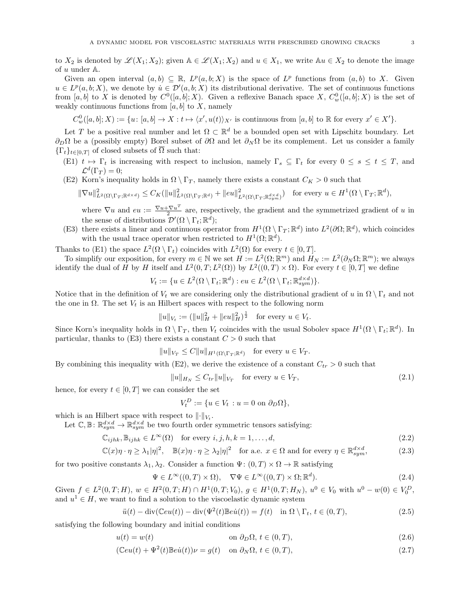to  $X_2$  is denoted by  $\mathscr{L}(X_1; X_2)$ ; given  $\mathbb{A} \in \mathscr{L}(X_1; X_2)$  and  $u \in X_1$ , we write  $\mathbb{A}u \in X_2$  to denote the image of u under A.

Given an open interval  $(a, b) \subseteq \mathbb{R}$ ,  $L^p(a, b; X)$  is the space of  $L^p$  functions from  $(a, b)$  to X. Given  $u \in L^p(a, b; X)$ , we denote by  $\dot{u} \in \mathcal{D}'(a, b; X)$  its distributional derivative. The set of continuous functions from [a, b] to X is denoted by  $C^0([a, b]; X)$ . Given a reflexive Banach space X,  $C_w^0([a, b]; X)$  is the set of weakly continuous functions from  $[a, b]$  to X, namely

 $C_w^0([a, b]; X) := \{u : [a, b] \to X : t \mapsto \langle x', u(t) \rangle_{X'} \text{ is continuous from } [a, b] \text{ to } \mathbb{R} \text{ for every } x' \in X'\}.$ 

Let T be a positive real number and let  $\Omega \subset \mathbb{R}^d$  be a bounded open set with Lipschitz boundary. Let  $\partial_D\Omega$  be a (possibly empty) Borel subset of  $\partial\Omega$  and let  $\partial_N\Omega$  be its complement. Let us consider a family  ${\{\Gamma_t\}}_{t\in[0,T]}$  of closed subsets of  $\overline{\Omega}$  such that:

- (E1)  $t \mapsto \Gamma_t$  is increasing with respect to inclusion, namely  $\Gamma_s \subseteq \Gamma_t$  for every  $0 \le s \le t \le T$ , and  $\mathcal{L}^d(\Gamma_T)=0;$
- (E2) Korn's inequality holds in  $\Omega \setminus \Gamma_T$ , namely there exists a constant  $C_K > 0$  such that

$$
\|\nabla u\|_{L^2(\Omega\setminus\Gamma_T;\mathbb{R}^{d\times d})}^2 \leq C_K(\|u\|_{L^2(\Omega\setminus\Gamma_T;\mathbb{R}^d)}^2 + \|eu\|_{L^2(\Omega\setminus\Gamma_T;\mathbb{R}^{d\times d}_{sym})}^2) \quad \text{for every } u \in H^1(\Omega\setminus\Gamma_T;\mathbb{R}^d),
$$

where  $\nabla u$  and  $eu := \frac{\nabla u + \nabla u^T}{2}$  $\frac{2\sqrt{u}}{2}$  are, respectively, the gradient and the symmetrized gradient of u in the sense of distributions  $\mathcal{D}'(\Omega \setminus \Gamma_t; \mathbb{R}^d)$ ;

(E3) there exists a linear and continuous operator from  $H^1(\Omega \setminus \Gamma_T; \mathbb{R}^d)$  into  $L^2(\partial \Omega; \mathbb{R}^d)$ , which coincides with the usual trace operator when restricted to  $H^1(\Omega;\mathbb{R}^d)$ .

Thanks to (E1) the space  $L^2(\Omega \setminus \Gamma_t)$  coincides with  $L^2(\Omega)$  for every  $t \in [0, T]$ .

To simplify our exposition, for every  $m \in \mathbb{N}$  we set  $H := L^2(\Omega; \mathbb{R}^m)$  and  $H_N := L^2(\partial_N \Omega; \mathbb{R}^m)$ ; we always identify the dual of H by H itself and  $L^2(0,T;L^2(\Omega))$  by  $L^2((0,T)\times\Omega)$ . For every  $t\in[0,T]$  we define

$$
V_t := \{ u \in L^2(\Omega \setminus \Gamma_t; \mathbb{R}^d) : eu \in L^2(\Omega \setminus \Gamma_t; \mathbb{R}^{d \times d}_{sym}) \}.
$$

Notice that in the definition of  $V_t$  we are considering only the distributional gradient of u in  $\Omega \setminus \Gamma_t$  and not the one in  $\Omega$ . The set  $V_t$  is an Hilbert spaces with respect to the following norm

$$
||u||_{V_t} := (||u||_H^2 + ||eu||_H^2)^{\frac{1}{2}}
$$
 for every  $u \in V_t$ .

Since Korn's inequality holds in  $\Omega \setminus \Gamma_T$ , then  $V_t$  coincides with the usual Sobolev space  $H^1(\Omega \setminus \Gamma_t; \mathbb{R}^d)$ . In particular, thanks to  $(E3)$  there exists a constant  $C > 0$  such that

$$
||u||_{V_T} \leq C||u||_{H^1(\Omega \setminus \Gamma_T; \mathbb{R}^d)} \quad \text{for every } u \in V_T.
$$

By combining this inequality with (E2), we derive the existence of a constant  $C_{tr} > 0$  such that

<span id="page-2-4"></span>
$$
||u||_{H_N} \le C_{tr} ||u||_{V_T} \quad \text{for every } u \in V_T,
$$
\n
$$
(2.1)
$$

hence, for every  $t \in [0, T]$  we can consider the set

<span id="page-2-6"></span><span id="page-2-5"></span>
$$
V_t^D := \{ u \in V_t : u = 0 \text{ on } \partial_D \Omega \},
$$

which is an Hilbert space with respect to  $\lVert \cdot \rVert_{V_t}$ .

Let  $\mathbb{C}, \mathbb{B}: \mathbb{R}^{d \times d}_{sym} \to \mathbb{R}^{d \times d}_{sym}$  be two fourth order symmetric tensors satisfying:

$$
\mathbb{C}_{ijhk}, \mathbb{B}_{ijhk} \in L^{\infty}(\Omega) \quad \text{for every } i, j, h, k = 1, \dots, d,
$$
\n(2.2)

$$
\mathbb{C}(x)\eta \cdot \eta \ge \lambda_1 |\eta|^2, \quad \mathbb{B}(x)\eta \cdot \eta \ge \lambda_2 |\eta|^2 \quad \text{for a.e. } x \in \Omega \text{ and for every } \eta \in \mathbb{R}^{d \times d}_{sym},
$$
 (2.3)

for two positive constants  $\lambda_1, \lambda_2$ . Consider a function  $\Psi: (0, T) \times \Omega \to \mathbb{R}$  satisfying

<span id="page-2-3"></span><span id="page-2-2"></span><span id="page-2-0"></span>
$$
\Psi \in L^{\infty}((0,T) \times \Omega), \quad \nabla \Psi \in L^{\infty}((0,T) \times \Omega; \mathbb{R}^d). \tag{2.4}
$$

Given  $f \in L^2(0,T;H)$ ,  $w \in H^2(0,T;H) \cap H^1(0,T;V_0)$ ,  $g \in H^1(0,T;H_N)$ ,  $u^0 \in V_0$  with  $u^0 - w(0) \in V_0^D$ , and  $u^1 \in H$ , we want to find a solution to the viscoelastic dynamic system

<span id="page-2-1"></span>
$$
\ddot{u}(t) - \operatorname{div}(\mathbb{C}eu(t)) - \operatorname{div}(\Psi^2(t)\mathbb{B}eu(t)) = f(t) \quad \text{in } \Omega \setminus \Gamma_t, \ t \in (0, T), \tag{2.5}
$$

satisfying the following boundary and initial conditions

$$
u(t) = w(t) \qquad \text{on } \partial_D \Omega, \ t \in (0, T), \tag{2.6}
$$

$$
(\mathbb{C}eu(t) + \Psi^2(t)\mathbb{B}eu(t))\nu = g(t) \quad \text{on } \partial_N\Omega, t \in (0, T),
$$
\n(2.7)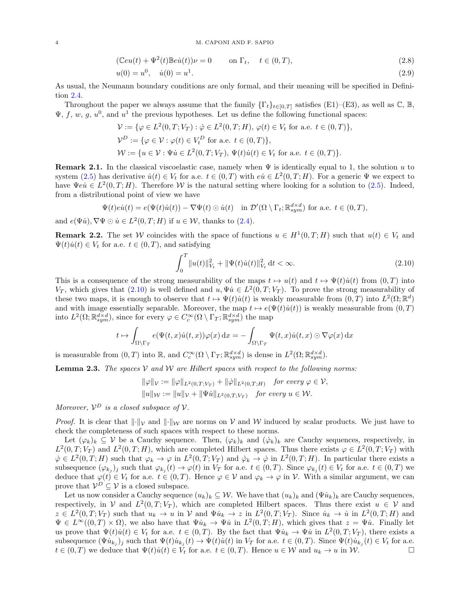#### 4 M. CAPONI AND F. SAPIO

$$
(\mathbb{C}eu(t) + \Psi^2(t)\mathbb{B}ei(t))\nu = 0 \qquad \text{on } \Gamma_t, \quad t \in (0, T), \tag{2.8}
$$

<span id="page-3-2"></span><span id="page-3-1"></span>
$$
u(0) = u^0, \quad \dot{u}(0) = u^1. \tag{2.9}
$$

As usual, the Neumann boundary conditions are only formal, and their meaning will be specified in Definition [2.4.](#page-4-2)

Throughout the paper we always assume that the family  $\{\Gamma_t\}_{t\in[0,T]}$  satisfies (E1)–(E3), as well as  $\mathbb{C}, \mathbb{B}$ ,  $\Psi$ , f, w, g, u<sup>0</sup>, and u<sup>1</sup> the previous hypotheses. Let us define the following functional spaces:

$$
\mathcal{V} := \{ \varphi \in L^2(0, T; V_T) : \dot{\varphi} \in L^2(0, T; H), \varphi(t) \in V_t \text{ for a.e. } t \in (0, T) \},
$$
  
\n
$$
\mathcal{V}^D := \{ \varphi \in \mathcal{V} : \varphi(t) \in V_t^D \text{ for a.e. } t \in (0, T) \},
$$
  
\n
$$
\mathcal{W} := \{ u \in \mathcal{V} : \Psi \dot{u} \in L^2(0, T; V_T), \Psi(t) \dot{u}(t) \in V_t \text{ for a.e. } t \in (0, T) \}.
$$

**Remark 2.1.** In the classical viscoelastic case, namely when  $\Psi$  is identically equal to 1, the solution u to system [\(2.5\)](#page-2-1) has derivative  $\dot{u}(t) \in V_t$  for a.e.  $t \in (0, T)$  with  $e\dot{u} \in L^2(0, T; H)$ . For a generic  $\Psi$  we expect to have  $\Psi e \dot{u} \in L^2(0,T;H)$ . Therefore W is the natural setting where looking for a solution to [\(2.5\)](#page-2-1). Indeed, from a distributional point of view we have

$$
\Psi(t)eu(t) = e(\Psi(t)u(t)) - \nabla\Psi(t) \odot u(t) \quad \text{in } \mathcal{D}'(\Omega \setminus \Gamma_t; \mathbb{R}^{d \times d}_{sym}) \text{ for a.e. } t \in (0, T),
$$

and  $e(\Psi \dot{u}), \nabla \Psi \odot \dot{u} \in L^2(0,T;H)$  if  $u \in \mathcal{W}$ , thanks to [\(2.4\)](#page-2-0).

**Remark 2.2.** The set W coincides with the space of functions  $u \in H^1(0,T;H)$  such that  $u(t) \in V_t$  and  $\Psi(t)\dot{u}(t) \in V_t$  for a.e.  $t \in (0, T)$ , and satisfying

<span id="page-3-0"></span>
$$
\int_0^T \|u(t)\|_{V_t}^2 + \|\Psi(t)\dot{u}(t)\|_{V_t}^2 \, \mathrm{d}t < \infty. \tag{2.10}
$$

This is a consequence of the strong measurability of the maps  $t \mapsto u(t)$  and  $t \mapsto \Psi(t)\dot{u}(t)$  from  $(0, T)$  into  $V_T$ , which gives that  $(2.10)$  is well defined and  $u, \Psi \dot{u} \in L^2(0,T;V_T)$ . To prove the strong measurability of these two maps, it is enough to observe that  $t \mapsto \Psi(t)\dot{u}(t)$  is weakly measurable from  $(0,T)$  into  $L^2(\Omega;\mathbb{R}^d)$ and with image essentially separable. Moreover, the map  $t \mapsto e(\Psi(t) \dot{u}(t))$  is weakly measurable from  $(0, T)$ into  $L^2(\Omega;\mathbb{R}^{d\times d}_{sym})$ , since for every  $\varphi \in C_c^{\infty}(\Omega \setminus \Gamma_T; \mathbb{R}^{d\times d}_{sym})$  the map

$$
t \mapsto \int_{\Omega \setminus \Gamma_T} e(\Psi(t,x)\dot{u}(t,x))\varphi(x) dx = - \int_{\Omega \setminus \Gamma_T} \Psi(t,x)\dot{u}(t,x) \odot \nabla \varphi(x) dx
$$

is measurable from  $(0, T)$  into  $\mathbb{R}$ , and  $C_c^{\infty}(\Omega \setminus \Gamma_T; \mathbb{R}^{d \times d}_{sym})$  is dense in  $L^2(\Omega; \mathbb{R}^{d \times d}_{sym})$ .

**Lemma 2.3.** The spaces V and W are Hilbert spaces with respect to the following norms:

$$
\|\varphi\|_{\mathcal{V}} := \|\varphi\|_{L^2(0,T;V_T)} + \|\dot{\varphi}\|_{L^2(0,T;H)} \quad \text{for every } \varphi \in \mathcal{V},
$$
  

$$
\|u\|_{\mathcal{W}} := \|u\|_{\mathcal{V}} + \|\Psi u\|_{L^2(0,T;V_T)} \quad \text{for every } u \in \mathcal{W}.
$$

Moreover,  $\mathcal{V}^D$  is a closed subspace of  $\mathcal{V}$ .

*Proof.* It is clear that  $\|\cdot\|_{\mathcal{V}}$  and  $\|\cdot\|_{\mathcal{W}}$  are norms on V and W induced by scalar products. We just have to check the completeness of such spaces with respect to these norms.

Let  $(\varphi_k)_k \subseteq V$  be a Cauchy sequence. Then,  $(\varphi_k)_k$  and  $(\varphi_k)_k$  are Cauchy sequences, respectively, in  $L^2(0,T;V_T)$  and  $L^2(0,T;H)$ , which are completed Hilbert spaces. Thus there exists  $\varphi \in L^2(0,T;V_T)$  with  $\dot{\varphi} \in L^2(0,T;H)$  such that  $\varphi_k \to \varphi$  in  $L^2(0,T;V_T)$  and  $\dot{\varphi}_k \to \dot{\varphi}$  in  $L^2(0,T;H)$ . In particular there exists a subsequence  $(\varphi_{k_j})_j$  such that  $\varphi_{k_j}(t) \to \varphi(t)$  in  $V_T$  for a.e.  $t \in (0,T)$ . Since  $\varphi_{k_j}(t) \in V_t$  for a.e.  $t \in (0,T)$  we deduce that  $\varphi(t) \in V_t$  for a.e.  $t \in (0,T)$ . Hence  $\varphi \in V$  and  $\varphi_k \to \varphi$  in V. With a similar argument, we can prove that  $\mathcal{V}^D \subseteq \mathcal{V}$  is a closed subspace.

Let us now consider a Cauchy sequence  $(u_k)_k \subseteq \mathcal{W}$ . We have that  $(u_k)_k$  and  $(\Psi \dot{u}_k)_k$  are Cauchy sequences, respectively, in V and  $L^2(0,T;V_T)$ , which are completed Hilbert spaces. Thus there exist  $u \in V$  and  $z \in L^2(0,T;V_T)$  such that  $u_k \to u$  in V and  $\Psi \dot{u}_k \to z$  in  $L^2(0,T;V_T)$ . Since  $\dot{u}_k \to \dot{u}$  in  $L^2(0,T;H)$  and  $\Psi \in L^{\infty}((0,T) \times \Omega)$ , we also have that  $\Psi \dot{u}_k \to \Psi \dot{u}$  in  $L^2(0,T;H)$ , which gives that  $z = \Psi \dot{u}$ . Finally let us prove that  $\Psi(t)\dot{u}(t) \in V_t$  for a.e.  $t \in (0,T)$ . By the fact that  $\Psi \dot{u}_k \to \Psi \dot{u}$  in  $L^2(0,T;V_T)$ , there exists a subsequence  $(\Psi \dot{u}_{k_j})_j$  such that  $\Psi(t)\dot{u}_{k_j}(t) \to \Psi(t)\dot{u}(t)$  in  $V_T$  for a.e.  $t \in (0,T)$ . Since  $\Psi(t)\dot{u}_{k_j}(t) \in V_t$  for a.e.  $t \in (0,T)$  we deduce that  $\Psi(t) \dot{u}(t) \in V_t$  for a.e.  $t \in (0,T)$ . Hence  $u \in \mathcal{W}$  and  $u_k \to u$  in  $\mathcal{W}$ .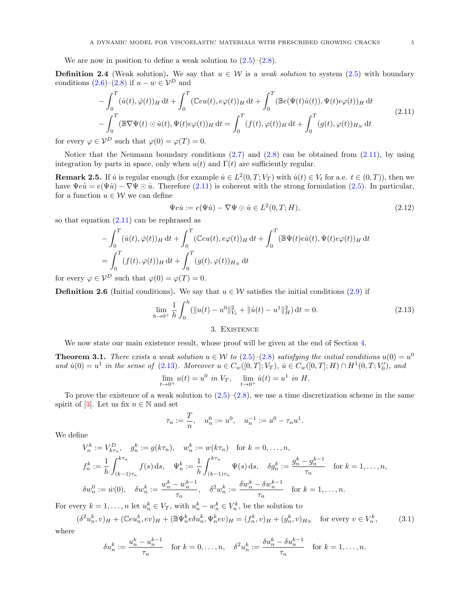We are now in position to define a weak solution to  $(2.5)$ – $(2.8)$ .

<span id="page-4-2"></span>**Definition 2.4** (Weak solution). We say that  $u \in \mathcal{W}$  is a weak solution to system [\(2.5\)](#page-2-1) with boundary conditions  $(2.6)$ – $(2.8)$  if  $u - w \in \mathcal{V}^D$  and

<span id="page-4-3"></span>
$$
-\int_0^T (\dot{u}(t), \dot{\varphi}(t))_H dt + \int_0^T (\mathbb{C}eu(t), e\varphi(t))_H dt + \int_0^T (\mathbb{B}e(\Psi(t)\dot{u}(t)), \Psi(t)e\varphi(t))_H dt - \int_0^T (\mathbb{B}\nabla\Psi(t) \odot \dot{u}(t), \Psi(t)e\varphi(t))_H dt = \int_0^T (f(t), \varphi(t))_H dt + \int_0^T (g(t), \varphi(t))_{H_N} dt
$$
\n(2.11)

for every  $\varphi \in \mathcal{V}^D$  such that  $\varphi(0) = \varphi(T) = 0$ .

Notice that the Neumann boundary conditions  $(2.7)$  and  $(2.8)$  can be obtained from  $(2.11)$ , by using integration by parts in space, only when  $u(t)$  and  $\Gamma(t)$  are sufficiently regular.

**Remark 2.5.** If *u* is regular enough (for example  $\dot{u} \in L^2(0,T;V_T)$  with  $\dot{u}(t) \in V_t$  for a.e.  $t \in (0,T)$ ), then we have  $\Psi e \dot{u} = e(\Psi \dot{u}) - \nabla \Psi \odot \dot{u}$ . Therefore [\(2.11\)](#page-4-3) is coherent with the strong formulation [\(2.5\)](#page-2-1). In particular, for a function  $u \in \mathcal{W}$  we can define

<span id="page-4-6"></span>
$$
\Psi e \dot{u} := e(\Psi \dot{u}) - \nabla \Psi \odot \dot{u} \in L^2(0, T; H), \tag{2.12}
$$

so that equation  $(2.11)$  can be rephrased as

$$
- \int_0^T (\dot{u}(t), \dot{\varphi}(t))_H dt + \int_0^T (\mathbb{C}eu(t), e\varphi(t))_H dt + \int_0^T (\mathbb{B}\Psi(t)e\dot{u}(t), \Psi(t)e\varphi(t))_H dt
$$
  
= 
$$
\int_0^T (f(t), \varphi(t))_H dt + \int_0^T (g(t), \varphi(t))_{H_N} dt
$$

for every  $\varphi \in \mathcal{V}^D$  such that  $\varphi(0) = \varphi(T) = 0$ .

**Definition 2.6** (Initial conditions). We say that  $u \in \mathcal{W}$  satisfies the initial conditions [\(2.9\)](#page-3-2) if

<span id="page-4-4"></span>
$$
\lim_{h \to 0^+} \frac{1}{h} \int_0^h (\|u(t) - u^0\|_{V_t}^2 + \|\dot{u}(t) - u^1\|_H^2) dt = 0.
$$
\n(2.13)

## 3. Existence

<span id="page-4-1"></span>We now state our main existence result, whose proof will be given at the end of Section [4.](#page-9-0)

<span id="page-4-0"></span>**Theorem 3.1.** There exists a weak solution  $u \in W$  to  $(2.5)-(2.8)$  $(2.5)-(2.8)$  $(2.5)-(2.8)$  satisfying the initial conditions  $u(0) = u^0$ and  $\dot{u}(0) = u^1$  in the sense of [\(2.13\)](#page-4-4). Moreover  $u \in C_w([0,T]; V_T)$ ,  $\dot{u} \in C_w([0,T]; H) \cap H^1(0,T; V_0)$ , and  $\lim_{t \to 0^+} u(t) = u^0$  in  $V_T$ ,  $\lim_{t \to 0^+} \dot{u}(t) = u^1$  in H.

To prove the existence of a weak solution to  $(2.5)-(2.8)$  $(2.5)-(2.8)$ , we use a time discretization scheme in the same spirit of [\[3\]](#page-18-0). Let us fix  $n \in \mathbb{N}$  and set

$$
\tau_n := \frac{T}{n}
$$
,  $u_n^0 := u^0$ ,  $u_n^{-1} := u^0 - \tau_n u^1$ .

We define

$$
V_n^k := V_{k\tau_n}^D, \quad g_n^k := g(k\tau_n), \quad w_n^k := w(k\tau_n) \quad \text{for } k = 0, \dots, n,
$$
  
\n
$$
f_n^k := \frac{1}{h} \int_{(k-1)\tau_n}^{k\tau_n} f(s) \, ds, \quad \Psi_n^k := \frac{1}{h} \int_{(k-1)\tau_n}^{k\tau_n} \Psi(s) \, ds, \quad \delta g_n^k := \frac{g_n^k - g_n^{k-1}}{\tau_n} \quad \text{for } k = 1, \dots, n,
$$
  
\n
$$
\delta w_n^0 := \dot{w}(0), \quad \delta w_n^k := \frac{w_n^k - w_n^{k-1}}{\tau_n}, \quad \delta^2 w_n^k := \frac{\delta w_n^k - \delta w_n^{k-1}}{\tau_n} \quad \text{for } k = 1, \dots, n.
$$

For every  $k = 1, ..., n$  let  $u_n^k \in V_T$ , with  $u_n^k - w_n^k \in V_n^k$ , be the solution to

<span id="page-4-5"></span>
$$
(\delta^2 u_n^k, v)_H + (\mathbb{C}eu_n^k, ev)_H + (\mathbb{B}\Psi_n^k e \delta u_n^k, \Psi_n^k ev)_H = (f_n^k, v)_H + (g_n^k, v)_H
$$
 for every  $v \in V_n^k$ , (3.1)

where

$$
\delta u_n^k := \frac{u_n^k - u_n^{k-1}}{\tau_n} \quad \text{for } k = 0, \dots, n, \quad \delta^2 u_n^k := \frac{\delta u_n^k - \delta u_n^{k-1}}{\tau_n} \quad \text{for } k = 1, \dots, n.
$$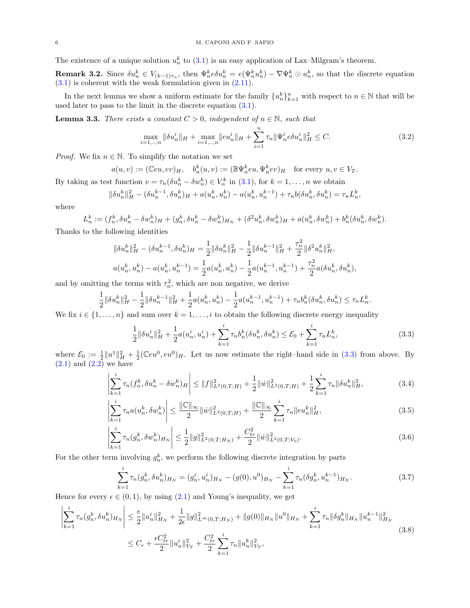The existence of a unique solution  $u_n^k$  to [\(3.1\)](#page-4-5) is an easy application of Lax–Milgram's theorem.

**Remark 3.2.** Since  $\delta u_n^k \in V_{(k-1)\tau_n}$ , then  $\Psi_n^k \epsilon \delta u_n^k = e(\Psi_n^k u_n^k) - \nabla \Psi_n^k \odot u_n^k$ , so that the discrete equation  $(3.1)$  is coherent with the weak formulation given in  $(2.11)$ .

In the next lemma we show a uniform estimate for the family  $\{u_n^k\}_{k=1}^n$  with respect to  $n \in \mathbb{N}$  that will be used later to pass to the limit in the discrete equation [\(3.1\)](#page-4-5).

<span id="page-5-4"></span>**Lemma 3.3.** There exists a constant  $C > 0$ , independent of  $n \in \mathbb{N}$ , such that

<span id="page-5-3"></span>
$$
\max_{i=1,\dots,n} \|\delta u_n^i\|_H + \max_{i=1,\dots,n} \|eu_n^i\|_H + \sum_{i=1}^n \tau_n \|\Psi_n^i e \delta u_n^i\|_H^2 \le C. \tag{3.2}
$$

*Proof.* We fix  $n \in \mathbb{N}$ . To simplify the notation we set

$$
a(u, v) := (\mathbb{C}eu, ev)_H, \quad b_n^k(u, v) := (\mathbb{B}\Psi_n^k eu, \Psi_n^k ev)_H \quad \text{for every } u, v \in V_T.
$$

By taking as test function  $v = \tau_n(\delta u_n^k - \delta w_n^k) \in V_n^k$  in [\(3.1\)](#page-4-5), for  $k = 1, ..., n$  we obtain

$$
\|\delta u_n^k\|_H^2 - (\delta u_n^{k-1}, \delta u_n^k)_H + a(u_n^k, u_n^k) - a(u_n^k, u_n^{k-1}) + \tau_n b(\delta u_n^k, \delta u_n^k) = \tau_n L_n^k,
$$

where

$$
L_n^k := (f_n^k, \delta u_n^k - \delta w_n^k)_{H} + (g_n^k, \delta u_n^k - \delta w_n^k)_{H_N} + (\delta^2 u_n^k, \delta w_n^k)_{H} + a(u_n^k, \delta w_n^k) + b_n^k (\delta u_n^k, \delta w_n^k).
$$

Thanks to the following identities

$$
\|\delta u_n^k\|_H^2 - (\delta u_n^{k-1}, \delta u_n^k)_H = \frac{1}{2} \|\delta u_n^k\|_H^2 - \frac{1}{2} \|\delta u_n^{k-1}\|_H^2 + \frac{\tau_n^2}{2} \|\delta^2 u_n^k\|_H^2,
$$
  

$$
a(u_n^k, u_n^k) - a(u_n^k, u_n^{k-1}) = \frac{1}{2} a(u_n^k, u_n^k) - \frac{1}{2} a(u_n^{k-1}, u_n^{k-1}) + \frac{\tau_n^2}{2} a(\delta u_n^k, \delta u_n^k),
$$

and by omitting the terms with  $\tau_n^2$ , which are non negative, we derive

$$
\frac{1}{2} \|\delta u_n^k\|_H^2 - \frac{1}{2} \|\delta u_n^{k-1}\|_H^2 + \frac{1}{2} a(u_n^k, u_n^k) - \frac{1}{2} a(u_n^{k-1}, u_n^{k-1}) + \tau_n b_n^k(\delta u_n^k, \delta u_n^k) \le \tau_n L_n^k.
$$

We fix  $i \in \{1, \ldots, n\}$  and sum over  $k = 1, \ldots, i$  to obtain the following discrete energy inequality

<span id="page-5-0"></span>
$$
\frac{1}{2} \|\delta u_n^i\|_H^2 + \frac{1}{2} a(u_n^i, u_n^i) + \sum_{k=1}^i \tau_n b_n^k (\delta u_n^k, \delta u_n^k) \le \mathcal{E}_0 + \sum_{k=1}^i \tau_n L_n^k,\tag{3.3}
$$

where  $\mathcal{E}_0 := \frac{1}{2} ||u^1||_H^2 + \frac{1}{2} (\mathbb{C}eu^0, eu^0)_H$ . Let us now estimate the right-hand side in [\(3.3\)](#page-5-0) from above. By  $(2.1)$  and  $(2.2)$  we have

$$
\left| \sum_{k=1}^{i} \tau_n(f_n^k, \delta u_n^k - \delta w_n^k) \right| \le ||f||^2_{L^2(0,T;H)} + \frac{1}{2} ||\dot{w}||^2_{L^2(0,T;H)} + \frac{1}{2} \sum_{k=1}^{i} \tau_n ||\delta u_n^k||^2_H,
$$
\n(3.4)

$$
\left| \sum_{k=1}^{i} \tau_n a(u_n^k, \delta w_n^k) \right| \le \frac{\|\mathbb{C}\|_{\infty}}{2} \|\dot{w}\|_{L^2(0,T;H)}^2 + \frac{\|\mathbb{C}\|_{\infty}}{2} \sum_{k=1}^{i} \tau_n \|eu_n^k\|_H^2,
$$
\n(3.5)

$$
\left| \sum_{k=1}^{i} \tau_n(g_n^k, \delta w_n^k)_{H_N} \right| \le \frac{1}{2} \|g\|_{L^2(0,T;H_N)}^2 + \frac{C_{tr}^2}{2} \|w\|_{L^2(0,T;V_0)}^2.
$$
\n(3.6)

For the other term involving  $g_n^k$ , we perform the following discrete integration by parts

<span id="page-5-2"></span>
$$
\sum_{k=1}^{i} \tau_n(g_n^k, \delta u_n^k)_{H_N} = (g_n^i, u_n^i)_{H_N} - (g(0), u^0)_{H_N} - \sum_{k=1}^{i} \tau_n(\delta g_n^k, u_n^{k-1})_{H_N}.
$$
\n(3.7)

Hence for every  $\epsilon \in (0,1)$ , by using  $(2.1)$  and Young's inequality, we get

<span id="page-5-1"></span>
$$
\left| \sum_{k=1}^{i} \tau_n(g_n^k, \delta u_n^k)_{H_N} \right| \leq \frac{\epsilon}{2} \| u_n^i \|_{H_N}^2 + \frac{1}{2\epsilon} \| g \|_{L^\infty(0, T; H_N)}^2 + \| g(0) \|_{H_N} \| u^0 \|_{H_N} + \sum_{k=1}^i \tau_n \| \delta g_n^k \|_{H_N} \| u_n^{k-1} \|_{H_N}^2
$$
\n
$$
\leq C_{\epsilon} + \frac{\epsilon C_{tr}^2}{2} \| u_n^i \|_{V_T}^2 + \frac{C_{tr}^2}{2} \sum_{k=1}^i \tau_n \| u_n^k \|_{V_T}^2,
$$
\n(3.8)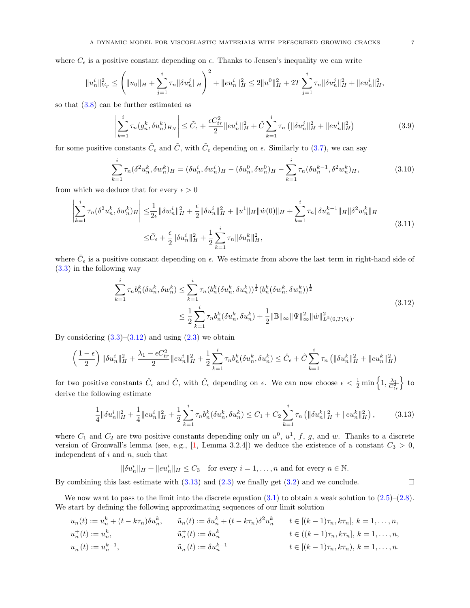where  $C_{\epsilon}$  is a positive constant depending on  $\epsilon$ . Thanks to Jensen's inequality we can write

$$
||u_n^i||_{V_T}^2 \leq \left(||u_0||_H + \sum_{j=1}^i \tau_n ||\delta u_n^j||_H\right)^2 + ||eu_n^i||_H^2 \leq 2||u^0||_H^2 + 2T \sum_{j=1}^i \tau_n ||\delta u_n^j||_H^2 + ||eu_n^i||_H^2,
$$

so that [\(3.8\)](#page-5-1) can be further estimated as

$$
\left| \sum_{k=1}^{i} \tau_n(g_n^k, \delta u_n^k)_{H_N} \right| \le \tilde{C}_{\epsilon} + \frac{\epsilon C_{tr}^2}{2} \|e u_n^i\|_H^2 + \tilde{C} \sum_{k=1}^{i} \tau_n \left( \|\delta u_n^j\|_H^2 + \|e u_n^i\|_H^2 \right) \tag{3.9}
$$

for some positive constants  $\tilde{C}_{\epsilon}$  and  $\tilde{C}$ , with  $\tilde{C}_{\epsilon}$  depending on  $\epsilon$ . Similarly to [\(3.7\)](#page-5-2), we can say

<span id="page-6-2"></span>
$$
\sum_{k=1}^{i} \tau_n(\delta^2 u_n^k, \delta w_n^k)_{H} = (\delta u_n^i, \delta w_n^i)_{H} - (\delta u_n^0, \delta w_n^0)_{H} - \sum_{k=1}^{i} \tau_n(\delta u_n^{k-1}, \delta^2 w_n^k)_{H},
$$
\n(3.10)

from which we deduce that for every  $\epsilon > 0$ 

$$
\left| \sum_{k=1}^{i} \tau_n (\delta^2 u_n^k, \delta w_n^k) H \right| \leq \frac{1}{2\epsilon} \|\delta w_n^i\|_H^2 + \frac{\epsilon}{2} \|\delta u_n^i\|_H^2 + \|u^1\|_H \|\dot{w}(0)\|_H + \sum_{k=1}^{i} \tau_n \|\delta u_n^{k-1}\|_H \|\delta^2 w_n^k\|_H
$$
\n
$$
\leq \bar{C}_{\epsilon} + \frac{\epsilon}{2} \|\delta u_n^i\|_H^2 + \frac{1}{2} \sum_{k=1}^{i} \tau_n \|\delta u_n^k\|_H^2,
$$
\n(3.11)

where  $\bar{C}_{\epsilon}$  is a positive constant depending on  $\epsilon$ . We estimate from above the last term in right-hand side of [\(3.3\)](#page-5-0) in the following way

<span id="page-6-0"></span>
$$
\sum_{k=1}^{i} \tau_n b_n^k (\delta u_n^k, \delta w_n^k) \le \sum_{k=1}^{i} \tau_n (b_n^k (\delta u_n^k, \delta u_n^k))^{\frac{1}{2}} (b_n^k (\delta w_n^k, \delta w_n^k))^{\frac{1}{2}} \n\le \frac{1}{2} \sum_{k=1}^{i} \tau_n b_n^k (\delta u_n^k, \delta u_n^k) + \frac{1}{2} ||\mathbb{B}||_{\infty} ||\Psi||_{\infty}^2 ||\dot{w}||_{L^2(0,T;V_0)}^2.
$$
\n(3.12)

By considering  $(3.3)$ – $(3.12)$  and using  $(2.3)$  we obtain

$$
\left(\frac{1-\epsilon}{2}\right)\|\delta u_{n}^{i}\|_{H}^{2} + \frac{\lambda_{1}-\epsilon C_{tr}^{2}}{2}\|e u_{n}^{i}\|_{H}^{2} + \frac{1}{2}\sum_{k=1}^{i}\tau_{n}b_{n}^{k}(\delta u_{n}^{k},\delta u_{n}^{k}) \leq \hat{C}_{\epsilon} + \hat{C}\sum_{k=1}^{i}\tau_{n}\left(\|\delta u_{n}^{k}\|_{H}^{2} + \|e u_{n}^{k}\|_{H}^{2}\right)
$$

for two positive constants  $\hat{C}_{\epsilon}$  and  $\hat{C}$ , with  $\hat{C}_{\epsilon}$  depending on  $\epsilon$ . We can now choose  $\epsilon < \frac{1}{2} \min \left\{1, \frac{\lambda_1}{C_{tr}^2}\right\}$  to derive the following estimate

$$
\frac{1}{4} \|\delta u_n^i\|_H^2 + \frac{1}{4} \|eu_n^i\|_H^2 + \frac{1}{2} \sum_{k=1}^i \tau_n b_n^k (\delta u_n^k, \delta u_n^k) \le C_1 + C_2 \sum_{k=1}^i \tau_n \left( \|\delta u_n^k\|_H^2 + \|eu_n^k\|_H^2 \right),\tag{3.13}
$$

where  $C_1$  and  $C_2$  are two positive constants depending only on  $u^0$ ,  $u^1$ , f, g, and w. Thanks to a discrete version of Gronwall's lemma (see, e.g., [\[1,](#page-18-4) Lemma 3.2.4]) we deduce the existence of a constant  $C_3 > 0$ , independent of  $i$  and  $n$ , such that

<span id="page-6-1"></span>
$$
\|\delta u_n^i\|_H + \|eu_n^i\|_H \le C_3 \quad \text{for every } i = 1, \dots, n \text{ and for every } n \in \mathbb{N}.
$$

By combining this last estimate with  $(3.13)$  and  $(2.3)$  we finally get  $(3.2)$  and we conclude.

We now want to pass to the limit into the discrete equation  $(3.1)$  to obtain a weak solution to  $(2.5)-(2.8)$  $(2.5)-(2.8)$ . We start by defining the following approximating sequences of our limit solution

 $u_n(t) := u_n^k + (t - k\tau_n) \delta u_n^k,$   $\tilde{u}_n(t) := \delta u_n^k + (t - k\tau_n) \delta^2 u_n^k$   $t \in [(k-1)\tau_n, k\tau_n], k = 1, \ldots, n$  $u_n^+(t) := u_n^k,$   $\tilde{u}$  $_n^+(t) := \delta u_n^k$  $t \in ((k-1)\tau_n, k\tau_n], k = 1, \ldots, n,$  $u_n^-(t) := u_n^{k-1},$   $\tilde{u}$  $n^{-}_{n}(t) := \delta u_{n}^{k-1}$  $t \in [(k-1)\tau_n, k\tau_n), k = 1, \ldots, n.$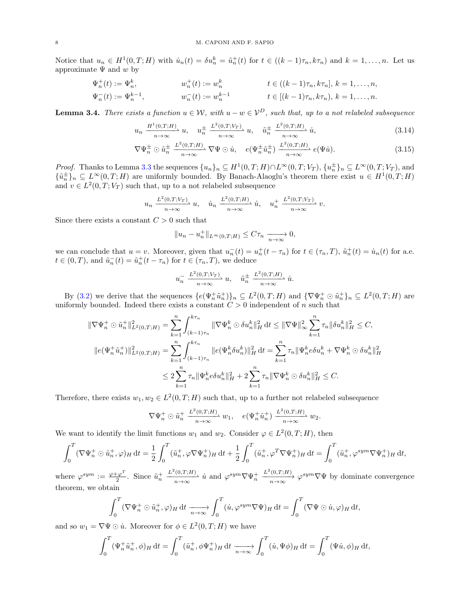Notice that  $u_n \in H^1(0,T;H)$  with  $\dot{u}_n(t) = \delta u_n^k = \tilde{u}_n^+(t)$  for  $t \in ((k-1)\tau_n, k\tau_n)$  and  $k = 1,\ldots,n$ . Let us approximate  $\Psi$  and w by

$$
\Psi_n^+(t) := \Psi_n^k, \qquad w_n^+(t) := w_n^k \qquad t \in ((k-1)\tau_n, k\tau_n], \ k = 1, \dots, n,
$$
  

$$
\Psi_n^-(t) := \Psi_n^{k-1}, \qquad w_n^-(t) := w_n^{k-1} \qquad t \in [(k-1)\tau_n, k\tau_n], \ k = 1, \dots, n.
$$

<span id="page-7-0"></span>**Lemma 3.4.** There exists a function  $u \in \mathcal{W}$ , with  $u - w \in \mathcal{V}^D$ , such that, up to a not relabeled subsequence

$$
u_n \xrightarrow[n \to \infty]{H^1(0,T;H)} u, \quad u_n^{\pm} \xrightarrow[n \to \infty]{L^2(0,T;V_T)} u, \quad \tilde{u}_n^{\pm} \xrightarrow[n \to \infty]{L^2(0,T;H)} \dot{u}, \tag{3.14}
$$

$$
\nabla \Psi_n^{\pm} \odot \tilde{u}_n^{\pm} \xrightarrow[n \to \infty]{L^2(0,T;H)} \nabla \Psi \odot \dot{u}, \quad e(\Psi_n^{\pm} \tilde{u}_n^{\pm}) \xrightarrow[n \to \infty]{L^2(0,T;H)} e(\Psi \dot{u}). \tag{3.15}
$$

*Proof.* Thanks to Lemma [3.3](#page-5-4) the sequences  $\{u_n\}_n \subseteq H^1(0,T;H) \cap L^\infty(0,T;V_T)$ ,  $\{u_n^{\pm}\}_n \subseteq L^\infty(0,T;V_T)$ , and  ${\{\tilde{u}_n^{\pm}\}_n \subseteq L^{\infty}(0,T;H)}$  are uniformly bounded. By Banach-Alaoglu's theorem there exist  $u \in H^1(0,T;H)$ and  $v \in L^2(0,T;V_T)$  such that, up to a not relabeled subsequence

$$
u_n \xrightarrow[n \to \infty]{L^2(0,T;V_T)} u, \quad \dot{u}_n \xrightarrow[n \to \infty]{L^2(0,T;H)} \dot{u}, \quad u_n^+ \xrightarrow[n \to \infty]{L^2(0,T;V_T)} v.
$$

Since there exists a constant  $C > 0$  such that

<span id="page-7-2"></span><span id="page-7-1"></span>
$$
||u_n - u_n^+||_{L^\infty(0,T;H)} \leq C\tau_n \xrightarrow[n \to \infty]{} 0,
$$

we can conclude that  $u = v$ . Moreover, given that  $u_n(t) = u_n^+(t - \tau_n)$  for  $t \in (\tau_n, T)$ ,  $\tilde{u}_n^+(t) = \dot{u}_n(t)$  for a.e.  $t \in (0,T)$ , and  $\tilde{u}_n^-(t) = \tilde{u}_n^+(t - \tau_n)$  for  $t \in (\tau_n, T)$ , we deduce

$$
u_n^- \xrightarrow[n \to \infty]{L^2(0,T;V_T)} u, \quad \tilde{u}_n^{\pm} \xrightarrow[n \to \infty]{L^2(0,T;H)} \dot{u}.
$$

By [\(3.2\)](#page-5-3) we derive that the sequences  $\{e(\Psi_n^+\tilde{u}_n^+)\}_n \subseteq L^2(0,T;H)$  and  $\{\nabla\Psi_n^+\odot\tilde{u}_n^+\}_n \subseteq L^2(0,T;H)$  are uniformly bounded. Indeed there exists a constant  $C > 0$  independent of n such that

$$
\begin{split} \|\nabla \Psi_n^+ \odot \tilde{u}_n^+\|_{L^2(0,T;H)}^2 &= \sum_{k=1}^n \int_{(k-1)\tau_n}^{k\tau_n} \|\nabla \Psi_n^k \odot \delta u_n^k\|_H^2 \, \mathrm{d}t \le \|\nabla \Psi\|_{\infty}^2 \sum_{k=1}^n \tau_n \|\delta u_n^k\|_H^2 \le C, \\ \|e(\Psi_n^+ \tilde{u}_n^+) \|_{L^2(0,T;H)}^2 &= \sum_{k=1}^n \int_{(k-1)\tau_n}^{k\tau_n} \|e(\Psi_n^k \delta u_n^k)\|_H^2 \, \mathrm{d}t = \sum_{k=1}^n \tau_n \|\Psi_n^k e \delta u_n^k + \nabla \Psi_n^k \odot \delta u_n^k\|_H^2 \\ &\le 2 \sum_{k=1}^n \tau_n \|\Psi_n^k e \delta u_n^k\|_H^2 + 2 \sum_{k=1}^n \tau_n \|\nabla \Psi_n^k \odot \delta u_n^k\|_H^2 \le C. \end{split}
$$

Therefore, there exists  $w_1, w_2 \in L^2(0,T;H)$  such that, up to a further not relabeled subsequence

$$
\nabla \Psi_n^+ \odot \tilde u_n^+ \xrightarrow[n \to \infty]{L^2(0,T;H)} w_1, \quad e(\Psi_n^+ \tilde u_n^+) \xrightarrow[n \to \infty]{L^2(0,T;H)} w_2.
$$

We want to identify the limit functions  $w_1$  and  $w_2$ . Consider  $\varphi \in L^2(0,T;H)$ , then

$$
\int_0^T (\nabla \Psi_n^+ \odot \tilde{u}_n^+, \varphi)_H \, \mathrm{d}t = \frac{1}{2} \int_0^T (\tilde{u}_n^+, \varphi \nabla \Psi_n^+)_H \, \mathrm{d}t + \frac{1}{2} \int_0^T (\tilde{u}_n^+, \varphi^T \nabla \Psi_n^+)_H \, \mathrm{d}t = \int_0^T (\tilde{u}_n^+, \varphi^{sym} \nabla \Psi_n^+)_H \, \mathrm{d}t,
$$

where  $\varphi^{sym} := \frac{\varphi + \varphi^{T}}{2}$  $\frac{\varphi^1}{2}$ . Since  $\tilde{u}_n^+$  $\frac{L^2(0,T;H)}{n\!\rightarrow\!\infty}\,\dot u$  and  $\varphi^{sym}\nabla\Psi_n^+$  $\frac{L^2(0,T;H)}{n\to\infty}$   $\varphi^{sym}\nabla\Psi$  by dominate convergence theorem, we obtain

$$
\int_0^T (\nabla \Psi_n^+ \odot \tilde{u}_n^+, \varphi)_H \, \mathrm{d}t \xrightarrow[n \to \infty]{} \int_0^T (\dot{u}, \varphi^{sym} \nabla \Psi)_H \, \mathrm{d}t = \int_0^T (\nabla \Psi \odot \dot{u}, \varphi)_H \, \mathrm{d}t,
$$

and so  $w_1 = \nabla \Psi \odot \dot{u}$ . Moreover for  $\phi \in L^2(0,T;H)$  we have

$$
\int_0^T (\Psi_n^+ \tilde{u}_n^+, \phi)_H \, \mathrm{d}t = \int_0^T (\tilde{u}_n^+, \phi \Psi_n^+)_H \, \mathrm{d}t \xrightarrow[n \to \infty]{} \int_0^T (\dot{u}, \Psi \phi)_H \, \mathrm{d}t = \int_0^T (\Psi \dot{u}, \phi)_H \, \mathrm{d}t,
$$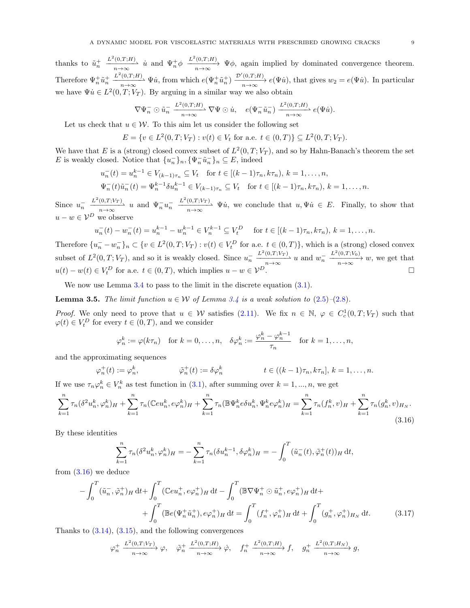thanks to  $\tilde{u}_n^+$  $\frac{L^2(0,T;H)}{n\to\infty}$  *u* and  $\Psi_n^+\phi$   $\frac{L^2(0,T;H)}{n\to\infty}$   $\Psi\phi$ , again implied by dominated convergence theorem. Therefore  $\Psi_n^+ \tilde{u}_n^+$  $\frac{L^2(0,T;H)}{n\to\infty}\Psi\dot{u}$ , from which  $e(\Psi^+_n\tilde{u}^+_n)\xrightarrow[n\to\infty]{\mathcal{D}'(0,T;H)} e(\Psi\dot{u})$ , that gives  $w_2=e(\Psi\dot{u})$ . In particular we have  $\Psi \dot{u} \in L^2(0,T;V_T)$ . By arguing in a similar way we also obtain

$$
\nabla\Psi_n^-\odot \tilde u_n^-\xrightarrow[n\to\infty]{L^2(0,T;H)} \nabla\Psi\odot \dot u,\quad e(\Psi_n^-\tilde u_n^-)\xrightarrow[n\to\infty]{L^2(0,T;H)} e(\Psi\dot u).
$$

Let us check that  $u \in \mathcal{W}$ . To this aim let us consider the following set

$$
E = \{ v \in L^2(0, T; V_T) : v(t) \in V_t \text{ for a.e. } t \in (0, T) \} \subseteq L^2(0, T; V_T).
$$

We have that E is a (strong) closed convex subset of  $L^2(0,T;V_T)$ , and so by Hahn-Banach's theorem the set E is weakly closed. Notice that  $\{u_n^-\}_n$ ,  $\{\Psi_n^-\tilde{u}_n^-\}_n \subseteq E$ , indeed

$$
u_n^-(t) = u_n^{k-1} \in V_{(k-1)\tau_n} \subseteq V_t \quad \text{for } t \in [(k-1)\tau_n, k\tau_n), \, k = 1, \dots, n,
$$
  

$$
\Psi_n^-(t)\tilde{u}_n^-(t) = \Psi_n^{k-1}\delta u_n^{k-1} \in V_{(k-1)\tau_n} \subseteq V_t \quad \text{for } t \in [(k-1)\tau_n, k\tau_n), \, k = 1, \dots, n.
$$

Since  $u_n^ \frac{L^2(0,T;V_T)}{n\to\infty}$  u and  $\Psi^-_nu^-_n$  $\frac{L^2(0,T;V_T)}{n\to\infty}$   $\Psi\dot{u}$ , we conclude that  $u,\Psi\dot{u} \in E$ . Finally, to show that  $u - w \in \mathcal{V}^D$  we observe

$$
u_n^-(t) - w_n^-(t) = u_n^{k-1} - w_n^{k-1} \in V_n^{k-1} \subseteq V_t^D \quad \text{for } t \in [(k-1)\tau_n, k\tau_n), k = 1, \dots, n.
$$

Therefore  $\{u_n^- - w_n^-\}_n \subset \{v \in L^2(0,T;V_T) : v(t) \in V_t^D$  for a.e.  $t \in (0,T)\}$ , which is a (strong) closed convex t subset of  $L^2(0,T;V_T)$ , and so it is weakly closed. Since  $u_n^ \frac{L^2(0,T;V_T)}{n\to\infty}$  u and  $w_n^ \frac{L^2(0,T;V_0)}{n\to\infty}$  w, we get that  $u(t) - w(t) \in V_t^D$  for a.e.  $t \in (0, T)$ , which implies  $u - w \in V^D$ .

We now use Lemma [3.4](#page-7-0) to pass to the limit in the discrete equation  $(3.1)$ .

<span id="page-8-2"></span>**Lemma 3.5.** The limit function  $u \in \mathcal{W}$  of Lemma [3.4](#page-7-0) is a weak solution to [\(2.5\)](#page-2-1)–[\(2.8\)](#page-3-1).

*Proof.* We only need to prove that  $u \in W$  satisfies [\(2.11\)](#page-4-3). We fix  $n \in \mathbb{N}$ ,  $\varphi \in C_c^1(0,T;V_T)$  such that  $\varphi(t) \in V_t^D$  for every  $t \in (0, T)$ , and we consider

$$
\varphi_n^k := \varphi(k\tau_n) \text{ for } k = 0, \dots, n, \quad \delta \varphi_n^k := \frac{\varphi_n^k - \varphi_n^{k-1}}{\tau_n} \text{ for } k = 1, \dots, n,
$$

and the approximating sequences

$$
\varphi_n^+(t) := \varphi_n^k, \qquad \qquad \tilde{\varphi}_n^+(t) := \delta \varphi_n^k \qquad t \in ((k-1)\tau_n, k\tau_n], \, k = 1, \ldots, n.
$$

If we use  $\tau_n \varphi_n^k \in V_n^k$  as test function in [\(3.1\)](#page-4-5), after summing over  $k = 1, ..., n$ , we get

$$
\sum_{k=1}^{n} \tau_n(\delta^2 u_n^k, \varphi_n^k)_{H} + \sum_{k=1}^{n} \tau_n(\mathbb{C} e u_n^k, e \varphi_n^k)_{H} + \sum_{k=1}^{n} \tau_n(\mathbb{B} \Psi_n^k e \delta u_n^k, \Psi_n^k e \varphi_n^k)_{H} = \sum_{k=1}^{n} \tau_n(f_n^k, v)_{H} + \sum_{k=1}^{n} \tau_n(g_n^k, v)_{H_N}.
$$
\n(3.16)

By these identities

<span id="page-8-1"></span><span id="page-8-0"></span>
$$
\sum_{k=1}^{n} \tau_n(\delta^2 u_n^k, \varphi_n^k)_{H} = -\sum_{k=1}^{n} \tau_n(\delta u_n^{k-1}, \delta \varphi_n^k)_{H} = -\int_0^T (\tilde{u}_n^-(t), \tilde{\varphi}_n^+(t))_{H} dt,
$$

from  $(3.16)$  we deduce

$$
-\int_0^T (\tilde{u}_n^-, \tilde{\varphi}_n^+)_H \, dt + \int_0^T (\mathbb{C}eu_n^+, e\varphi_n^+)_H \, dt - \int_0^T (\mathbb{B} \nabla \Psi_n^+ \odot \tilde{u}_n^+, e\varphi_n^+)_H \, dt + + \int_0^T (\mathbb{B}e(\Psi_n^+ \tilde{u}_n^+), e\varphi_n^+)_H \, dt = \int_0^T (f_n^+, \varphi_n^+)_H \, dt + \int_0^T (g_n^+, \varphi_n^+)_{H_N} \, dt.
$$
 (3.17)

Thanks to  $(3.14)$ ,  $(3.15)$ , and the following convergences

$$
\varphi_n^+ \xrightarrow[n \to \infty]{L^2(0,T;V_T)} \varphi, \quad \tilde{\varphi}_n^+ \xrightarrow[n \to \infty]{L^2(0,T;H)} \dot{\varphi}, \quad f_n^+ \xrightarrow[n \to \infty]{L^2(0,T;H)} f, \quad g_n^+ \xrightarrow[n \to \infty]{L^2(0,T;H_N)} g,
$$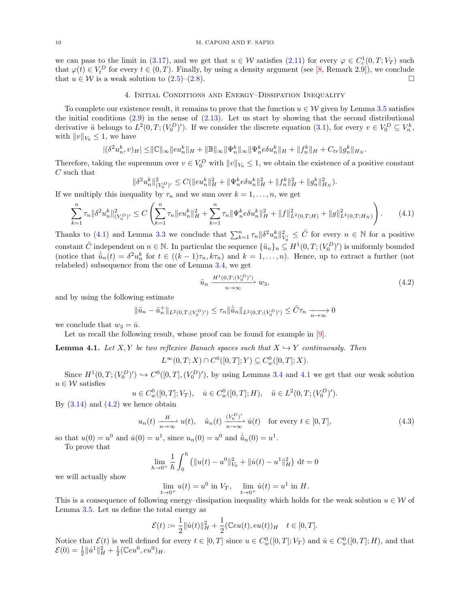we can pass to the limit in [\(3.17\)](#page-8-1), and we get that  $u \in \mathcal{W}$  satisfies [\(2.11\)](#page-4-3) for every  $\varphi \in C_c^1(0,T;V_T)$  such that  $\varphi(t) \in V_t^D$  for every  $t \in (0, T)$ . Finally, by using a density argument (see [\[8,](#page-18-5) Remark 2.9]), we conclude that  $u \in \mathcal{W}$  is a weak solution to  $(2.5)-(2.8)$  $(2.5)-(2.8)$ .

## 4. Initial Conditions and Energy–Dissipation Inequality

<span id="page-9-0"></span>To complete our existence result, it remains to prove that the function  $u \in \mathcal{W}$  given by Lemma [3.5](#page-8-2) satisfies the initial conditions  $(2.9)$  in the sense of  $(2.13)$ . Let us start by showing that the second distributional derivative  $\ddot{u}$  belongs to  $L^2(0,T;(V_0^D)')$ . If we consider the discrete equation [\(3.1\)](#page-4-5), for every  $v \in V_0^D \subseteq V_n^k$ , with  $||v||_{V_0} \leq 1$ , we have

$$
|(\delta^2 u_n^k, v)_H| \leq ||\mathbb{C}||_{\infty} ||eu_n^k||_H + ||\mathbb{B}||_{\infty} ||\Psi_n^k||_{\infty} ||\Psi_n^k e \delta u_n^k||_H + ||f_n^k||_H + C_{tr} ||g_n^k||_{H_N}.
$$

Therefore, taking the supremum over  $v \in V_0^D$  with  $||v||_{V_0} \leq 1$ , we obtain the existence of a positive constant C such that

$$
\|\delta^2 u_n^k\|_{(V_0^D)'}^2 \leq C(\|eu_n^k\|_H^2 + \|\Psi_n^k e \delta u_n^k\|_H^2 + \|f_n^k\|_H^2 + \|g_n^k\|_{H_N}^2).
$$

If we multiply this inequality by  $\tau_n$  and we sum over  $k = 1, \ldots, n$ , we get

$$
\sum_{k=1}^{n} \tau_n \|\delta^2 u_n^k\|_{(V_0^D)'}^2 \le C \left( \sum_{k=1}^{n} \tau_n \|eu_n^k\|_H^2 + \sum_{k=1}^{n} \tau_n \|\Psi_n^k e \delta u_n^k\|_H^2 + \|f\|_{L^2(0,T;H)}^2 + \|g\|_{L^2(0,T;H_N)}^2 \right). \tag{4.1}
$$

Thanks to [\(4.1\)](#page-9-1) and Lemma [3.3](#page-5-4) we conclude that  $\sum_{k=1}^{n} \tau_n \|\delta^2 u_n^k\|_{V_0'}^2 \leq \tilde{C}$  for every  $n \in \mathbb{N}$  for a positive constant  $\tilde{C}$  independent on  $n \in \mathbb{N}$ . In particular the sequence  $\{\tilde{u}_n\}_n \subseteq H^1(0,T;(V_0^D)')$  is uniformly bounded (notice that  $\dot{u}_n(t) = \delta^2 u_n^k$  for  $t \in ((k-1)\tau_n, k\tau_n)$  and  $k = 1, \ldots, n$ ). Hence, up to extract a further (not relabeled) subsequence from the one of Lemma [3.4,](#page-7-0) we get

<span id="page-9-3"></span><span id="page-9-1"></span>
$$
\tilde{u}_n \xrightarrow[n \to \infty]{H^1(0,T;(V_0^D)')} w_3,
$$
\n
$$
(4.2)
$$

and by using the following estimate

$$
\|\tilde{u}_n - \tilde{u}_n^+\|_{L^2(0,T;(V_0^D)')} \le \tau_n \|\dot{\tilde{u}}_n\|_{L^2(0,T;(V_0^D)')} \le \tilde{C}\tau_n \xrightarrow[n \to \infty]{} 0
$$

we conclude that  $w_3 = \dot{u}$ .

Let us recall the following result, whose proof can be found for example in [\[9\]](#page-18-6).

<span id="page-9-2"></span>**Lemma 4.1.** Let X, Y be two reflexive Banach spaces such that  $X \rightarrow Y$  continuously. Then

 $L^{\infty}(0,T;X) \cap C^{0}([0,T];Y) \subseteq C_w^{0}([0,T];X).$ 

Since  $H^1(0,T;(V_0^D)') \hookrightarrow C^0([0,T], (V_0^D)')$ , by using Lemmas [3.4](#page-7-0) and [4.1](#page-9-2) we get that our weak solution  $u \in \mathcal{W}$  satisfies

$$
u \in C_w^0([0,T];V_T), \quad \dot{u} \in C_w^0([0,T];H), \quad \ddot{u} \in L^2(0,T;(V_0^D)').
$$

By  $(3.14)$  and  $(4.2)$  we hence obtain

<span id="page-9-4"></span>
$$
u_n(t) \xrightarrow[n \to \infty]{H} u(t), \quad \tilde{u}_n(t) \xrightarrow[n \to \infty]{(V_0^D)'} \dot{u}(t) \quad \text{for every } t \in [0, T], \tag{4.3}
$$

so that  $u(0) = u^0$  and  $\dot{u}(0) = u^1$ , since  $u_n(0) = u^0$  and  $\dot{u}_n(0) = u^1$ .

To prove that

$$
\lim_{h \to 0^+} \frac{1}{h} \int_0^h \left( \|u(t) - u^0\|_{V_0}^2 + \|\dot{u}(t) - u^1\|_H^2 \right) dt = 0
$$

we will actually show

$$
\lim_{t \to 0^+} u(t) = u^0 \text{ in } V_T, \quad \lim_{t \to 0^+} \dot{u}(t) = u^1 \text{ in } H.
$$

This is a consequence of following energy–dissipation inequality which holds for the weak solution  $u \in \mathcal{W}$  of Lemma [3.5.](#page-8-2) Let us define the total energy as

$$
\mathcal{E}(t) := \frac{1}{2} ||\dot{u}(t)||_H^2 + \frac{1}{2} (\mathbb{C}eu(t), eu(t))_H \quad t \in [0, T].
$$

Notice that  $\mathcal{E}(t)$  is well defined for every  $t \in [0,T]$  since  $u \in C_w^0([0,T]; V_T)$  and  $\dot{u} \in C_w^0([0,T]; H)$ , and that  $\mathcal{E}(0) = \frac{1}{2} ||\dot{u}^1||_H^2 + \frac{1}{2} (\mathbb{C}eu^0, eu^0)_H.$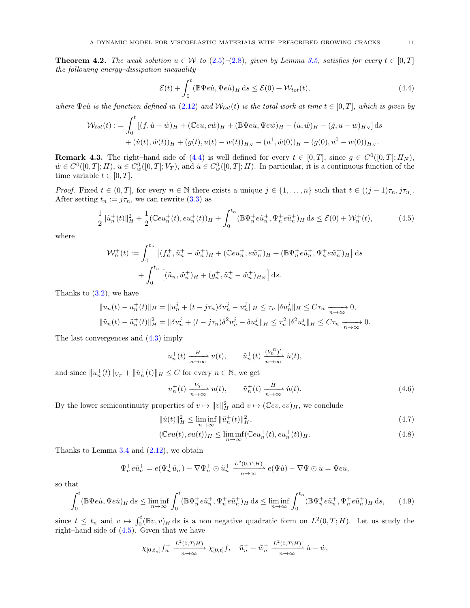**Theorem 4.2.** The weak solution  $u \in W$  to [\(2.5\)](#page-2-1)–[\(2.8\)](#page-3-1), given by Lemma [3.5,](#page-8-2) satisfies for every  $t \in [0, T]$ the following energy–dissipation inequality

<span id="page-10-0"></span>
$$
\mathcal{E}(t) + \int_0^t (\mathbb{B}\Psi e\dot{u}, \Psi e\dot{u})_H \, \mathrm{d}s \le \mathcal{E}(0) + \mathcal{W}_{tot}(t),\tag{4.4}
$$

where  $\Psi$ eu is the function defined in [\(2.12\)](#page-4-6) and  $W_{tot}(t)$  is the total work at time  $t \in [0,T]$ , which is given by

$$
\mathcal{W}_{tot}(t) := \int_0^t \left[ (f, \dot{u} - \dot{w})_H + (\mathbb{C}eu, e\dot{w})_H + (\mathbb{B}\Psi e\dot{u}, \Psi e\dot{w})_H - (\dot{u}, \ddot{w})_H - (\dot{g}, u - w)_{H_N} \right] ds
$$
  
+ 
$$
(\dot{u}(t), \dot{w}(t))_H + (g(t), u(t) - w(t))_{H_N} - (u^1, \dot{w}(0))_H - (g(0), u^0 - w(0))_{H_N}.
$$

**Remark 4.3.** The right–hand side of [\(4.4\)](#page-10-0) is well defined for every  $t \in [0,T]$ , since  $g \in C^0([0,T]; H_N)$ ,  $\dot{w} \in C^{0}([0,T];H), u \in C_{w}^{0}([0,T];V_T),$  and  $\dot{u} \in C_{w}^{0}([0,T];H)$ . In particular, it is a continuous function of the time variable  $t \in [0, T]$ .

*Proof.* Fixed  $t \in (0, T]$ , for every  $n \in \mathbb{N}$  there exists a unique  $j \in \{1, \ldots, n\}$  such that  $t \in ((j - 1)\tau_n, j\tau_n]$ . After setting  $t_n := j\tau_n$ , we can rewrite [\(3.3\)](#page-5-0) as

<span id="page-10-1"></span>
$$
\frac{1}{2} \|\tilde{u}_n^+(t)\|_H^2 + \frac{1}{2} (\mathbb{C}eu_n^+(t), eu_n^+(t))_H + \int_0^{t_n} (\mathbb{B}\Psi_n^+ e \tilde{u}_n^+, \Psi_n^+ e \tilde{u}_n^+)_H ds \le \mathcal{E}(0) + \mathcal{W}_n^+(t),\tag{4.5}
$$

where

$$
\mathcal{W}_n^+(t) := \int_0^{t_n} \left[ (f_n^+, \tilde{u}_n^+ - \tilde{w}_n^+)_{H} + (\mathbb{C}eu_n^+, e\tilde{w}_n^+)_{H} + (\mathbb{B}\Psi_n^+ e\tilde{u}_n^+, \Psi_n^+ e\tilde{w}_n^+)_{H} \right] ds + \int_0^{t_n} \left[ (\dot{\tilde{u}}_n, \tilde{w}_n^+)_{H} + (g_n^+, \tilde{u}_n^+ - \tilde{w}_n^+)_{H_N} \right] ds.
$$

Thanks to  $(3.2)$ , we have

$$
||u_n(t) - u_n^+(t)||_H = ||u_n^j + (t - j\tau_n)\delta u_n^j - u_n^j||_H \le \tau_n ||\delta u_n^j||_H \le C\tau_n \xrightarrow[n \to \infty]{} 0,
$$
  

$$
||\tilde{u}_n(t) - \tilde{u}_n^+(t)||_H^2 = ||\delta u_n^j + (t - j\tau_n)\delta^2 u_n^j - \delta u_n^j||_H \le \tau_n^2 ||\delta^2 u_n^j||_H \le C\tau_n \xrightarrow[n \to \infty]{} 0.
$$

The last convergences and [\(4.3\)](#page-9-4) imply

$$
u_n^+(t) \xrightarrow[n \to \infty]{H} u(t), \qquad \tilde{u}_n^+(t) \xrightarrow[n \to \infty]{(V_0^D)'} \dot{u}(t),
$$

and since  $||u_n^+(t)||_{V_T} + ||\tilde{u}_n^+(t)||_H \leq C$  for every  $n \in \mathbb{N}$ , we get

<span id="page-10-3"></span><span id="page-10-2"></span>
$$
u_n^+(t) \xrightarrow[n \to \infty]{V_T} u(t), \qquad \tilde{u}_n^+(t) \xrightarrow[n \to \infty]{H} \dot{u}(t).
$$
 (4.6)

By the lower semicontinuity properties of  $v \mapsto ||v||_H^2$  and  $v \mapsto (\mathbb{C}ev, ev)_H$ , we conclude

$$
\|\dot{u}(t)\|_{H}^{2} \le \liminf_{n \to \infty} \|\tilde{u}_{n}^{+}(t)\|_{H}^{2},\tag{4.7}
$$

$$
(\mathbb{C}eu(t), eu(t))_H \le \liminf_{n \to \infty} (\mathbb{C}eu_n^+(t), eu_n^+(t))_H. \tag{4.8}
$$

Thanks to Lemma  $3.4$  and  $(2.12)$ , we obtain

$$
\Psi_n^+ e \tilde{u}_n^+ = e(\Psi_n^+ \tilde{u}_n^+) - \nabla \Psi_n^+ \odot \tilde{u}_n^+ \xrightarrow[n \to \infty]{L^2(0,T;H)} e(\Psi \tilde{u}) - \nabla \Psi \odot \tilde{u} = \Psi e \tilde{u},
$$

so that

$$
\int_0^t (\mathbb{B}\Psi e\dot{u}, \Psi e\dot{u})_H \, \mathrm{d}s \le \liminf_{n \to \infty} \int_0^t (\mathbb{B}\Psi_n^+ e\tilde{u}_n^+, \Psi_n^+ e\tilde{u}_n^+)_H \, \mathrm{d}s \le \liminf_{n \to \infty} \int_0^{t_n} (\mathbb{B}\Psi_n^+ e\tilde{u}_n^+, \Psi_n^+ e\tilde{u}_n^+)_H \, \mathrm{d}s,\tag{4.9}
$$

since  $t \leq t_n$  and  $v \mapsto \int_0^t (\mathbb{B}v, v)_H ds$  is a non negative quadratic form on  $L^2(0,T;H)$ . Let us study the right–hand side of  $(4.5)$ . Given that we have

$$
\chi_{[0,t_n]}f_n^+ \xrightarrow[n \to \infty]{L^2(0,T;H)} \chi_{[0,t]}f, \quad \tilde{u}_n^+ - \tilde{w}_n^+ \xrightarrow[n \to \infty]{L^2(0,T;H)} \dot{u} - \dot{w},
$$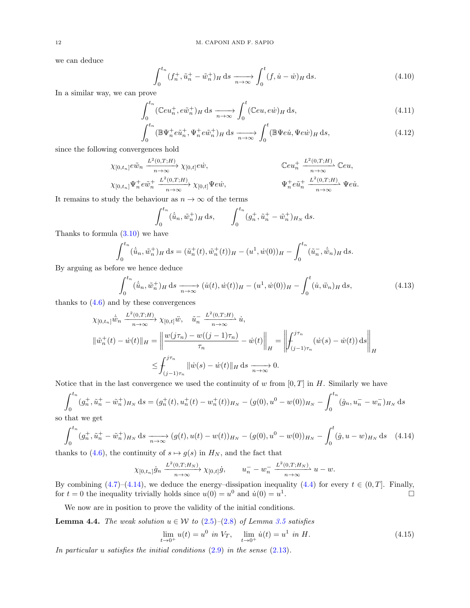we can deduce

$$
\int_0^{t_n} (f_n^+, \tilde{u}_n^+ - \tilde{w}_n^+)_H \, \mathrm{d}s \xrightarrow[n \to \infty]{} \int_0^t (f, \dot{u} - \dot{w})_H \, \mathrm{d}s. \tag{4.10}
$$

In a similar way, we can prove

$$
\int_0^{t_n} (\mathbb{C}eu_n^+, e\tilde{w}_n^+)_H \, \mathrm{d} s \xrightarrow[n \to \infty]{} \int_0^t (\mathbb{C}eu, e\dot{w})_H \, \mathrm{d} s,\tag{4.11}
$$

$$
\int_0^{t_n} (\mathbb{B}\Psi_n^+ e \tilde{u}_n^+, \Psi_n^+ e \tilde{w}_n^+)_H \, \mathrm{d} s \xrightarrow[n \to \infty]{} \int_0^t (\mathbb{B}\Psi e \dot{u}, \Psi e \dot{w})_H \, \mathrm{d} s,\tag{4.12}
$$

since the following convergences hold

$$
\chi_{[0,t_n]}e\tilde{w}_n \xrightarrow[n \to \infty]{L^2(0,T;H)} \chi_{[0,t]}e\dot{w}, \qquad \qquad \mathbb{C}eu_n^+ \xrightarrow[n \to \infty]{L^2(0,T;H)} \mathbb{C}eu,
$$
  

$$
\chi_{[0,t_n]}\Psi_n^+e\tilde{w}_n^+ \xrightarrow[n \to \infty]{L^2(0,T;H)} \chi_{[0,t]} \Psi e\dot{w}, \qquad \qquad \Psi_n^+e\tilde{u}_n^+ \xrightarrow[n \to \infty]{L^2(0,T;H)} \Psi e\dot{u}.
$$

It remains to study the behaviour as  $n \to \infty$  of the terms

$$
\int_0^{t_n} (\dot{\tilde{u}}_n, \tilde{w}_n^+)_H \, ds, \qquad \int_0^{t_n} (g_n^+, \tilde{u}_n^+ - \tilde{w}_n^+)_{H_N} \, ds.
$$

Thanks to formula  $(3.10)$  we have

$$
\int_0^{t_n} (\dot{\tilde{u}}_n, \tilde{w}_n^+)_H ds = (\tilde{u}_n^+(t), \tilde{w}_n^+(t))_H - (u^1, \dot{w}(0))_H - \int_0^{t_n} (\tilde{u}_n^-, \dot{\tilde{w}}_n)_H ds.
$$

By arguing as before we hence deduce

$$
\int_0^{t_n} (\dot{\tilde{u}}_n, \tilde{w}_n^+)_H ds \xrightarrow[n \to \infty]{} (\dot{u}(t), \dot{w}(t))_H - (u^1, \dot{w}(0))_H - \int_0^t (\dot{u}, \ddot{w}_n)_H ds,
$$
\n(4.13)

thanks to  $(4.6)$  and by these convergences

$$
\chi_{[0,t_n]}\dot{w}_n \xrightarrow[n \to \infty]{L^2(0,T;H)} \chi_{[0,t]}\ddot{w}, \quad \tilde{u}_n^- \xrightarrow[n \to \infty]{L^2(0,T;H)} \dot{u},
$$
  

$$
\|\tilde{w}_n^+(t) - \dot{w}(t)\|_H = \left\|\frac{w(j\tau_n) - w((j-1)\tau_n)}{\tau_n} - \dot{w}(t)\right\|_H = \left\|\int_{(j-1)\tau_n}^{j\tau_n} (\dot{w}(s) - \dot{w}(t)) \,ds\right\|_H
$$
  

$$
\leq \int_{(j-1)\tau_n}^{j\tau_n} \|\dot{w}(s) - \dot{w}(t)\|_H \,ds \xrightarrow[n \to \infty]{}
$$
0.

Notice that in the last convergence we used the continuity of w from  $[0, T]$  in H. Similarly we have

$$
\int_0^{t_n} (g_n^+, \tilde{u}_n^+ - \tilde{w}_n^+)_{H_N} ds = (g_n^+(t), u_n^+(t) - w_n^+(t))_{H_N} - (g(0), u^0 - w(0))_{H_N} - \int_0^{t_n} (\dot{g}_n, u_n^- - w_n^-)_{H_N} ds
$$

so that we get

<span id="page-11-0"></span>
$$
\int_0^{t_n} (g_n^+, \tilde{u}_n^+ - \tilde{w}_n^+)_{H_N} ds \xrightarrow[n \to \infty]{} (g(t), u(t) - w(t))_{H_N} - (g(0), u^0 - w(0))_{H_N} - \int_0^t (\dot{g}, u - w)_{H_N} ds \quad (4.14)
$$

thanks to [\(4.6\)](#page-10-2), the continuity of  $s \mapsto g(s)$  in  $H_N$ , and the fact that

$$
\chi_{[0,t_n]}\dot{g}_n \xrightarrow[n \to \infty]{L^2(0,T;H_N)} \chi_{[0,t]}\dot{g}, \qquad u_n^- - w_n^- \xrightarrow[n \to \infty]{L^2(0,T;H_N)} u - w.
$$

By combining  $(4.7)$ – $(4.14)$ , we deduce the energy–dissipation inequality  $(4.4)$  for every  $t \in (0, T]$ . Finally, for  $t = 0$  the inequality trivially holds since  $u(0) = u^0$  and  $\dot{u}(0) = u^1$ .

We now are in position to prove the validity of the initial conditions.

<span id="page-11-2"></span>**Lemma 4.4.** The weak solution  $u \in W$  to  $(2.5)-(2.8)$  $(2.5)-(2.8)$  $(2.5)-(2.8)$  of Lemma [3.5](#page-8-2) satisfies

<span id="page-11-1"></span>
$$
\lim_{t \to 0^+} u(t) = u^0 \text{ in } V_T, \quad \lim_{t \to 0^+} \dot{u}(t) = u^1 \text{ in } H. \tag{4.15}
$$

In particular u satisfies the initial conditions  $(2.9)$  in the sense  $(2.13)$ .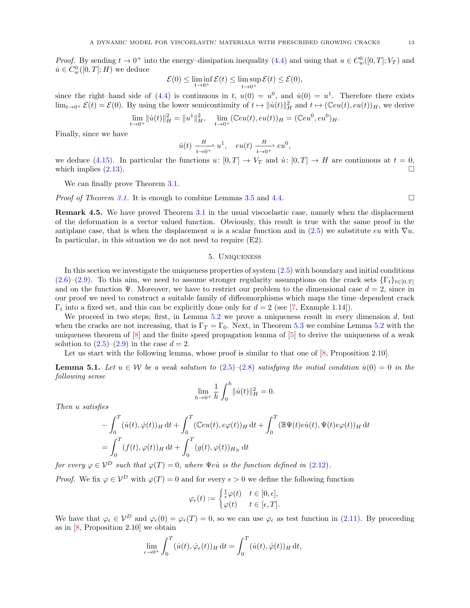*Proof.* By sending  $t \to 0^+$  into the energy-dissipation inequality [\(4.4\)](#page-10-0) and using that  $u \in C_w^0([0,T]; V_T)$  and  $\dot{u} \in C_w^0([0,T];H)$  we deduce

$$
\mathcal{E}(0) \le \liminf_{t \to 0^+} \mathcal{E}(t) \le \limsup_{t \to 0^+} \mathcal{E}(t) \le \mathcal{E}(0),
$$

since the right–hand side of [\(4.4\)](#page-10-0) is continuous in t,  $u(0) = u^0$ , and  $\dot{u}(0) = u^1$ . Therefore there exists  $\lim_{t\to 0^+} \mathcal{E}(t) = \mathcal{E}(0)$ . By using the lower semicontinuity of  $t \mapsto ||\dot{u}(t)||_H^2$  and  $t \mapsto (\mathbb{C}eu(t), eu(t))_H$ , we derive

$$
\lim_{t \to 0^+} \|\dot{u}(t)\|_H^2 = \|u^1\|_H^2, \quad \lim_{t \to 0^+} (\mathbb{C}eu(t), eu(t))_H = (\mathbb{C}eu^0, eu^0)_H.
$$

Finally, since we have

$$
\dot{u}(t) \xrightarrow[t \to 0^+]{H} u^1, \quad eu(t) \xrightarrow[t \to 0^+]{} eu^0,
$$

we deduce [\(4.15\)](#page-11-1). In particular the functions  $u: [0, T] \to V_T$  and  $\dot{u}: [0, T] \to H$  are continuous at  $t = 0$ , which implies  $(2.13)$ .

We can finally prove Theorem [3.1.](#page-4-0)

*Proof of Theorem [3.1.](#page-4-0)* It is enough to combine Lemmas [3.5](#page-8-2) and [4.4.](#page-11-2)

Remark 4.5. We have proved Theorem [3.1](#page-4-0) in the usual viscoelastic case, namely when the displacement of the deformation is a vector valued function. Obviously, this result is true with the same proof in the antiplane case, that is when the displacement u is a scalar function and in [\(2.5\)](#page-2-1) we substitute eu with  $\nabla u$ . In particular, in this situation we do not need to require (E2).

#### 5. Uniqueness

<span id="page-12-0"></span>In this section we investigate the uniqueness properties of system [\(2.5\)](#page-2-1) with boundary and initial conditions [\(2.6\)](#page-2-2)–[\(2.9\)](#page-3-2). To this aim, we need to assume stronger regularity assumptions on the crack sets  $\{\Gamma_t\}_{t\in[0,T]}$ and on the function  $\Psi$ . Moreover, we have to restrict our problem to the dimensional case  $d = 2$ , since in our proof we need to construct a suitable family of diffeomorphisms which maps the time–dependent crack  $\Gamma_t$  into a fixed set, and this can be explicitly done only for  $d = 2$  (see [\[7,](#page-18-1) Example 1.14]).

We proceed in two steps; first, in Lemma  $5.2$  we prove a uniqueness result in every dimension  $d$ , but when the cracks are not increasing, that is  $\Gamma_T = \Gamma_0$ . Next, in Theorem [5.3](#page-15-0) we combine Lemma [5.2](#page-13-0) with the uniqueness theorem of [\[8\]](#page-18-5) and the finite speed propagation lemma of [\[5\]](#page-18-7) to derive the uniqueness of a weak solution to  $(2.5)-(2.9)$  $(2.5)-(2.9)$  in the case  $d=2$ .

Let us start with the following lemma, whose proof is similar to that one of  $[8,$  Proposition 2.10].

<span id="page-12-1"></span>**Lemma 5.1.** Let  $u \in \mathcal{W}$  be a weak solution to  $(2.5)-(2.8)$  $(2.5)-(2.8)$  $(2.5)-(2.8)$  satisfying the initial condition  $\dot{u}(0) = 0$  in the following sense

$$
\lim_{h \to 0^+} \frac{1}{h} \int_0^h \|\dot{u}(t)\|_H^2 = 0.
$$

Then u satisfies

$$
- \int_0^T (\dot{u}(t), \dot{\varphi}(t))_H dt + \int_0^T (\mathbb{C}eu(t), e\varphi(t))_H dt + \int_0^T (\mathbb{B}\Psi(t)e\dot{u}(t), \Psi(t)e\varphi(t))_H dt
$$
  
= 
$$
\int_0^T (f(t), \varphi(t))_H dt + \int_0^T (g(t), \varphi(t))_{H_N} dt
$$

for every  $\varphi \in V^D$  such that  $\varphi(T) = 0$ , where  $\Psi$ eu is the function defined in [\(2.12\)](#page-4-6).

*Proof.* We fix  $\varphi \in V^D$  with  $\varphi(T) = 0$  and for every  $\epsilon > 0$  we define the following function

$$
\varphi_{\epsilon}(t) := \begin{cases} \frac{t}{\epsilon} \varphi(t) & t \in [0, \epsilon], \\ \varphi(t) & t \in [\epsilon, T]. \end{cases}
$$

We have that  $\varphi_{\epsilon} \in \mathcal{V}^D$  and  $\varphi_{\epsilon}(0) = \varphi_{\epsilon}(T) = 0$ , so we can use  $\varphi_{\epsilon}$  as test function in [\(2.11\)](#page-4-3). By proceeding as in  $[8,$  Proposition 2.10 we obtain

$$
\lim_{\epsilon \to 0^+} \int_0^T (\dot{u}(t), \dot{\varphi}_\epsilon(t))_H \, \mathrm{d}t = \int_0^T (\dot{u}(t), \dot{\varphi}(t))_H \, \mathrm{d}t,
$$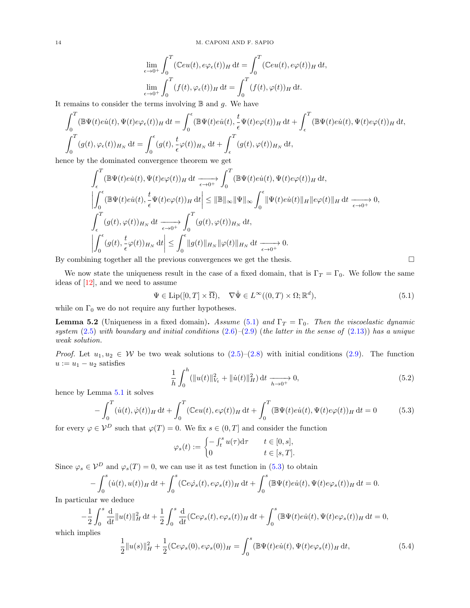$$
\lim_{\epsilon \to 0^+} \int_0^T (\mathbb{C}eu(t), e\varphi_\epsilon(t))_H dt = \int_0^T (\mathbb{C}eu(t), e\varphi(t))_H dt,
$$
  

$$
\lim_{\epsilon \to 0^+} \int_0^T (f(t), \varphi_\epsilon(t))_H dt = \int_0^T (f(t), \varphi(t))_H dt.
$$

It remains to consider the terms involving  $\mathbb B$  and g. We have

$$
\int_0^T (\mathbb{B}\Psi(t)e\dot{u}(t), \Psi(t)e\varphi_\epsilon(t))_H dt = \int_0^\epsilon (\mathbb{B}\Psi(t)e\dot{u}(t), \frac{t}{\epsilon}\Psi(t)e\varphi(t))_H dt + \int_\epsilon^T (\mathbb{B}\Psi(t)e\dot{u}(t), \Psi(t)e\varphi(t))_H dt,
$$
  

$$
\int_0^T (g(t), \varphi_\epsilon(t))_{H_N} dt = \int_0^\epsilon (g(t), \frac{t}{\epsilon}\varphi(t))_{H_N} dt + \int_\epsilon^T (g(t), \varphi(t))_{H_N} dt,
$$

hence by the dominated convergence theorem we get

$$
\int_{\epsilon}^{T} (\mathbb{B}\Psi(t)e\dot{u}(t), \Psi(t)e\varphi(t))_{H} dt \xrightarrow[\epsilon \to 0^{+}]{} \int_{0}^{T} (\mathbb{B}\Psi(t)e\dot{u}(t), \Psi(t)e\varphi(t))_{H} dt,
$$
\n
$$
\left| \int_{0}^{\epsilon} (\mathbb{B}\Psi(t)e\dot{u}(t), \frac{t}{\epsilon}\Psi(t)e\varphi(t))_{H} dt \right| \leq \|\mathbb{B}\|_{\infty} \|\Psi\|_{\infty} \int_{0}^{\epsilon} \|\Psi(t)e\dot{u}(t)\|_{H} \|e\varphi(t)\|_{H} dt \xrightarrow[\epsilon \to 0^{+}]{} 0,
$$
\n
$$
\int_{\epsilon}^{T} (g(t), \varphi(t))_{H_{N}} dt \xrightarrow[\epsilon \to 0^{+}]{} \int_{0}^{T} (g(t), \varphi(t))_{H_{N}} dt,
$$
\n
$$
\left| \int_{0}^{\epsilon} (g(t), \frac{t}{\epsilon}\varphi(t))_{H_{N}} dt \right| \leq \int_{0}^{\epsilon} \|g(t)\|_{H_{N}} \|\varphi(t)\|_{H_{N}} dt \xrightarrow[\epsilon \to 0^{+}]{} 0.
$$
\n
$$
\text{since to each on all the previous sequences, we get the theories}
$$

By combining together all the previous convergences we get the thesis.  $\Box$ 

We now state the uniqueness result in the case of a fixed domain, that is  $\Gamma_T = \Gamma_0$ . We follow the same ideas of [\[12\]](#page-19-7), and we need to assume

<span id="page-13-1"></span>
$$
\Psi \in \text{Lip}([0, T] \times \overline{\Omega}), \quad \nabla \dot{\Psi} \in L^{\infty}((0, T) \times \Omega; \mathbb{R}^d), \tag{5.1}
$$

while on  $\Gamma_0$  we do not require any further hypotheses.

<span id="page-13-0"></span>**Lemma 5.2** (Uniqueness in a fixed domain). Assume [\(5.1\)](#page-13-1) and  $\Gamma_T = \Gamma_0$ . Then the viscoelastic dynamic system  $(2.5)$  with boundary and initial conditions  $(2.6)-(2.9)$  $(2.6)-(2.9)$  $(2.6)-(2.9)$  (the latter in the sense of  $(2.13)$ ) has a unique weak solution.

*Proof.* Let  $u_1, u_2 \in W$  be two weak solutions to  $(2.5)-(2.8)$  $(2.5)-(2.8)$  with initial conditions  $(2.9)$ . The function  $u := u_1 - u_2$  satisfies

<span id="page-13-3"></span>
$$
\frac{1}{h} \int_0^h (\|u(t)\|_{V_t}^2 + \|\dot{u}(t)\|_H^2) \, \mathrm{d}t \xrightarrow[h \to 0^+]{} 0,\tag{5.2}
$$

hence by Lemma [5.1](#page-12-1) it solves

<span id="page-13-2"></span>
$$
-\int_0^T (\dot{u}(t), \dot{\varphi}(t))_H dt + \int_0^T (\mathbb{C}eu(t), e\varphi(t))_H dt + \int_0^T (\mathbb{B}\Psi(t)e\dot{u}(t), \Psi(t)e\varphi(t))_H dt = 0 \qquad (5.3)
$$

for every  $\varphi \in V^D$  such that  $\varphi(T) = 0$ . We fix  $s \in (0, T]$  and consider the function

$$
\varphi_s(t) := \begin{cases} -\int_t^s u(\tau) d\tau & t \in [0, s], \\ 0 & t \in [s, T]. \end{cases}
$$

Since  $\varphi_s \in \mathcal{V}^D$  and  $\varphi_s(T) = 0$ , we can use it as test function in [\(5.3\)](#page-13-2) to obtain

$$
-\int_0^s (\dot{u}(t), u(t))_H dt + \int_0^s (\mathbb{C}e\dot{\varphi}_s(t), e\varphi_s(t))_H dt + \int_0^s (\mathbb{B}\Psi(t)e\dot{u}(t), \Psi(t)e\varphi_s(t))_H dt = 0.
$$

In particular we deduce

$$
-\frac{1}{2}\int_0^s \frac{d}{dt}||u(t)||_H^2 dt + \frac{1}{2}\int_0^s \frac{d}{dt}(\mathbb{C}e\varphi_s(t), e\varphi_s(t))_H dt + \int_0^s (\mathbb{B}\Psi(t)e\dot{u}(t), \Psi(t)e\varphi_s(t))_H dt = 0,
$$

which implies

<span id="page-13-4"></span>
$$
\frac{1}{2}||u(s)||_H^2 + \frac{1}{2}(\mathbb{C}e\varphi_s(0), e\varphi_s(0))_H = \int_0^s (\mathbb{B}\Psi(t)e\dot{u}(t), \Psi(t)e\varphi_s(t))_H dt,
$$
\n(5.4)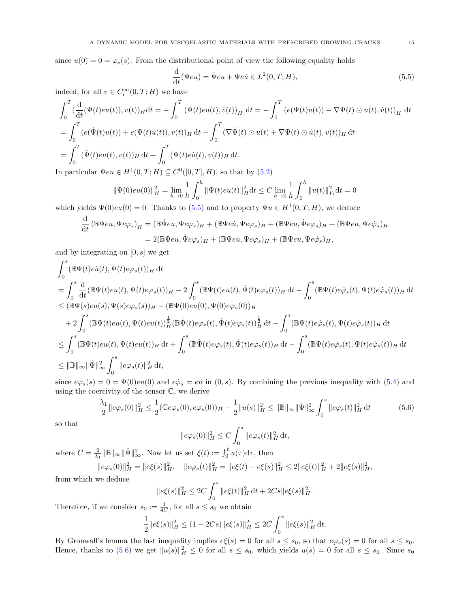since  $u(0) = 0 = \varphi_s(s)$ . From the distributional point of view the following equality holds

<span id="page-14-0"></span>
$$
\frac{\mathrm{d}}{\mathrm{d}t}(\Psi e u) = \dot{\Psi} e u + \Psi e \dot{u} \in L^2(0, T; H),\tag{5.5}
$$

indeed, for all  $v \in C_c^{\infty}(0,T;H)$  we have

$$
\int_0^T \left(\frac{\mathrm{d}}{\mathrm{d}t}(\Psi(t)eu(t)), v(t)\right)_H \mathrm{d}t = -\int_0^T \left(\Psi(t)eu(t), \dot{v}(t)\right)_H \mathrm{d}t = -\int_0^T \left(e(\Psi(t)u(t)) - \nabla\Psi(t) \odot u(t), \dot{v}(t)\right)_H \mathrm{d}t
$$
\n
$$
= \int_0^T \left(e(\dot{\Psi}(t)u(t)) + e(\Psi(t)\dot{u}(t)), v(t)\right)_H \mathrm{d}t - \int_0^T \left(\nabla\dot{\Psi}(t) \odot u(t) + \nabla\Psi(t) \odot \dot{u}(t), v(t)\right)_H \mathrm{d}t
$$
\n
$$
= \int_0^T (\dot{\Psi}(t)eu(t), v(t))_H \mathrm{d}t + \int_0^T (\Psi(t)eu(t), v(t))_H \mathrm{d}t.
$$

In particular  $\Psi e u \in H^1(0,T;H) \subseteq C^0([0,T],H)$ , so that by  $(5.2)$ 

$$
\|\Psi(0)eu(0)\|_{H}^{2} = \lim_{h \to 0} \frac{1}{h} \int_{0}^{h} \|\Psi(t)eu(t)\|_{H}^{2} dt \le C \lim_{h \to 0} \frac{1}{h} \int_{0}^{h} \|u(t)\|_{V_{t}}^{2} dt = 0
$$

which yields  $\Psi(0)eu(0) = 0$ . Thanks to [\(5.5\)](#page-14-0) and to property  $\Psi u \in H^1(0,T;H)$ , we deduce

$$
\frac{\mathrm{d}}{\mathrm{d}t} \left( \mathbb{B} \Psi eu, \Psi e \varphi_s \right)_H = \left( \mathbb{B} \dot{\Psi} eu, \Psi e \varphi_s \right)_H + \left( \mathbb{B} \Psi e \dot{u}, \Psi e \varphi_s \right)_H + \left( \mathbb{B} \Psi e u, \dot{\Psi} e \varphi_s \right)_H + \left( \mathbb{B} \Psi e u, \Psi e \dot{\varphi}_s \right)_H
$$
\n
$$
= 2(\mathbb{B} \Psi eu, \dot{\Psi} e \varphi_s)_H + (\mathbb{B} \Psi e \dot{u}, \Psi e \varphi_s)_H + (\mathbb{B} \Psi e u, \Psi e \dot{\varphi}_s)_H,
$$

and by integrating on  $[0, s]$  we get

$$
\begin{split} &\int_0^s (\mathbb{B}\Psi(t)e\dot{u}(t),\Psi(t)e\varphi_s(t))_H \,\mathrm{d}t\\ &=\int_0^s \frac{\mathrm{d}}{\mathrm{d}t} (\mathbb{B}\Psi(t)eu(t),\Psi(t)e\varphi_s(t))_H -2\int_0^s (\mathbb{B}\Psi(t)eu(t),\dot{\Psi}(t)e\varphi_s(t))_H \,\mathrm{d}t -\int_0^s (\mathbb{B}\Psi(t)e\dot{\varphi}_s(t),\Psi(t)e\dot{\varphi}_s(t))_H \,\mathrm{d}t\\ &\leq (\mathbb{B}\Psi(s)eu(s),\Psi(s)e\varphi_s(s))_H - (\mathbb{B}\Psi(0)eu(0),\Psi(0)e\varphi_s(0))_H\\ &+2\int_0^s (\mathbb{B}\Psi(t)eu(t),\Psi(t)eu(t))_H^\frac{1}{2} (\mathbb{B}\dot{\Psi}(t)e\varphi_s(t),\dot{\Psi}(t)e\varphi_s(t))_H^\frac{1}{2} \,\mathrm{d}t -\int_0^s (\mathbb{B}\Psi(t)e\dot{\varphi}_s(t),\Psi(t)e\dot{\varphi}_s(t))_H \,\mathrm{d}t\\ &\leq \int_0^s (\mathbb{B}\Psi(t)eu(t),\Psi(t)eu(t))_H \,\mathrm{d}t +\int_0^s (\mathbb{B}\dot{\Psi}(t)e\varphi_s(t),\dot{\Psi}(t)e\varphi_s(t))_H \,\mathrm{d}t -\int_0^s (\mathbb{B}\Psi(t)e\dot{\varphi}_s(t),\Psi(t)e\dot{\varphi}_s(t))_H \,\mathrm{d}t\\ &\leq \|\mathbb{B}\|_\infty \|\dot{\Psi}\|_\infty^2 \int_0^s \|e\varphi_s(t)\|_H^2 \,\mathrm{d}t, \end{split}
$$

since  $e\varphi_s(s) = 0 = \Psi(0)eu(0)$  and  $e\dot{\varphi}_s = eu$  in  $(0, s)$ . By combining the previous inequality with  $(5.4)$  and using the coercivity of the tensor C, we derive

<span id="page-14-1"></span>
$$
\frac{\lambda_1}{2} \|e\varphi_s(0)\|_H^2 \le \frac{1}{2} (\mathbb{C}e\varphi_s(0), e\varphi_s(0))_H + \frac{1}{2} \|u(s)\|_H^2 \le \|\mathbb{B}\|_{\infty} \|\dot{\Psi}\|_{\infty}^2 \int_0^s \|e\varphi_s(t)\|_H^2 dt \tag{5.6}
$$

so that

$$
\|\ephi_s(0)\|_H^2 \le C \int_0^s \|\ephi_s(t)\|_H^2 dt,
$$

where  $C = \frac{2}{\lambda_1} ||\mathbb{B}||_{\infty} ||\dot{\Psi}||_{\infty}^2$ . Now let us set  $\xi(t) := \int_0^t u(\tau) d\tau$ , then

 $||e\varphi_s(0)||_H^2 = ||e\xi(s)||_H^2, \quad ||e\varphi_s(t)||_H^2 = ||e\xi(t) - e\xi(s)||_H^2 \leq 2||e\xi(t)||_H^2 + 2||e\xi(s)||_H^2,$ 

from which we deduce

$$
\|e\xi(s)\|_H^2 \le 2C \int_0^s \|e\xi(t)\|_H^2 dt + 2Cs \|e\xi(s)\|_H^2.
$$

Therefore, if we consider  $s_0 := \frac{1}{4C}$ , for all  $s \leq s_0$  we obtain

$$
\frac{1}{2} ||e\xi(s)||_H^2 \le (1 - 2Cs) ||e\xi(s)||_H^2 \le 2C \int_0^s ||e\xi(s)||_H^2 dt.
$$

By Gronwall's lemma the last inequality implies  $e\xi(s) = 0$  for all  $s \leq s_0$ , so that  $e\varphi_s(s) = 0$  for all  $s \leq s_0$ . Hence, thanks to [\(5.6\)](#page-14-1) we get  $||u(s)||_H^2 \leq 0$  for all  $s \leq s_0$ , which yields  $u(s) = 0$  for all  $s \leq s_0$ . Since  $s_0$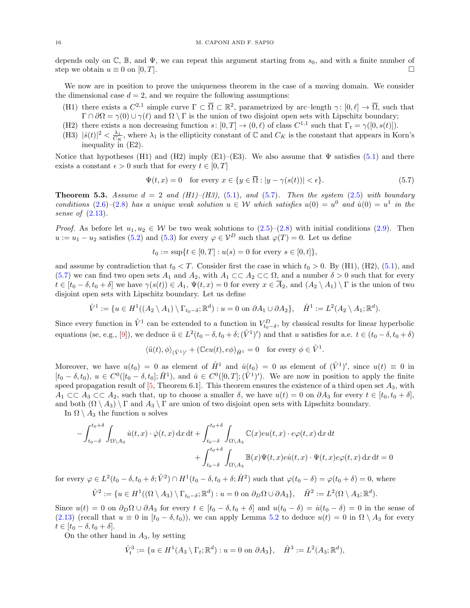depends only on  $\mathbb{C}$ ,  $\mathbb{B}$ , and  $\Psi$ , we can repeat this argument starting from  $s_0$ , and with a finite number of step we obtain  $u \equiv 0$  on  $[0, T]$ .

We now are in position to prove the uniqueness theorem in the case of a moving domain. We consider the dimensional case  $d = 2$ , and we require the following assumptions:

- (H1) there exists a  $C^{2,1}$  simple curve  $\Gamma \subset \overline{\Omega} \subset \mathbb{R}^2$ , parametrized by arc-length  $\gamma: [0, \ell] \to \overline{\Omega}$ , such that  $\Gamma \cap \partial \Omega = \gamma(0) \cup \gamma(\ell)$  and  $\Omega \setminus \Gamma$  is the union of two disjoint open sets with Lipschitz boundary;
- (H2) there exists a non decreasing function  $s: [0, T] \to (0, \ell)$  of class  $C^{1,1}$  such that  $\Gamma_t = \gamma([0, s(t)])$ .
- (H3)  $|\dot{s}(t)|^2 < \frac{\lambda_1}{C_K}$ , where  $\lambda_1$  is the ellipticity constant of C and  $C_K$  is the constant that appears in Korn's inequality in (E2).

Notice that hypotheses (H1) and (H2) imply (E1)–(E3). We also assume that  $\Psi$  satisfies [\(5.1\)](#page-13-1) and there exists a constant  $\epsilon > 0$  such that for every  $t \in [0, T]$ 

<span id="page-15-1"></span>
$$
\Psi(t, x) = 0 \quad \text{for every } x \in \{y \in \overline{\Omega} : |y - \gamma(s(t))| < \epsilon\}. \tag{5.7}
$$

<span id="page-15-0"></span>**Theorem 5.3.** Assume  $d = 2$  and  $(H1)$ – $(H3)$ , [\(5.1\)](#page-13-1), and [\(5.7\)](#page-15-1). Then the system [\(2.5\)](#page-2-1) with boundary conditions  $(2.6)$  – $(2.8)$  has a unique weak solution  $u \in W$  which satisfies  $u(0) = u^0$  and  $\dot{u}(0) = u^1$  in the sense of  $(2.13)$ .

*Proof.* As before let  $u_1, u_2 \in W$  be two weak solutions to  $(2.5)-(2.8)$  $(2.5)-(2.8)$  with initial conditions  $(2.9)$ . Then  $u := u_1 - u_2$  satisfies [\(5.2\)](#page-13-3) and [\(5.3\)](#page-13-2) for every  $\varphi \in \mathcal{V}^D$  such that  $\varphi(T) = 0$ . Let us define

$$
t_0 := \sup\{t \in [0, T] : u(s) = 0 \text{ for every } s \in [0, t]\},\
$$

and assume by contradiction that  $t_0 < T$ . Consider first the case in which  $t_0 > 0$ . By (H1), (H2), [\(5.1\)](#page-13-1), and [\(5.7\)](#page-15-1) we can find two open sets  $A_1$  and  $A_2$ , with  $A_1 \subset \subset A_2 \subset \subset \Omega$ , and a number  $\delta > 0$  such that for every  $t \in [t_0 - \delta, t_0 + \delta]$  we have  $\gamma(s(t)) \in A_1$ ,  $\Psi(t, x) = 0$  for every  $x \in \overline{A}_2$ , and  $(A_2 \setminus A_1) \setminus \Gamma$  is the union of two disjoint open sets with Lipschitz boundary. Let us define

$$
\hat{V}^1 := \{ u \in H^1((A_2 \setminus A_1) \setminus \Gamma_{t_0 - \delta}; \mathbb{R}^d) : u = 0 \text{ on } \partial A_1 \cup \partial A_2 \}, \quad \hat{H}^1 := L^2(A_2 \setminus A_1; \mathbb{R}^d).
$$

Since every function in  $\hat{V}^1$  can be extended to a function in  $V_{t_0-\delta}^D$ , by classical results for linear hyperbolic equations (se, e.g., [\[9\]](#page-18-6)), we deduce  $\ddot{u} \in L^2(t_0 - \delta, t_0 + \delta; (\hat{V}^1)')$  and that u satisfies for a.e.  $t \in (t_0 - \delta, t_0 + \delta)$ 

$$
\langle \ddot{u}(t), \phi \rangle_{(\hat{V}^1)'} + (\mathbb{C}eu(t), e\phi)_{\hat{H}^1} = 0 \text{ for every } \phi \in \hat{V}^1.
$$

Moreover, we have  $u(t_0) = 0$  as element of  $\hat{H}^1$  and  $\dot{u}(t_0) = 0$  as element of  $(\hat{V}^1)'$ , since  $u(t) \equiv 0$  in  $[t_0 - \delta, t_0], u \in C^0([t_0 - \delta, t_0]; \hat{H}^1),$  and  $\dot{u} \in C^0([0, T]; (\hat{V}^1)').$  We are now in position to apply the finite speed propagation result of [\[5,](#page-18-7) Theorem 6.1]. This theorem ensures the existence of a third open set  $A_3$ , with  $A_1 \subset\subset A_3 \subset\subset A_2$ , such that, up to choose a smaller  $\delta$ , we have  $u(t) = 0$  on  $\partial A_3$  for every  $t \in [t_0, t_0 + \delta]$ , and both  $(\Omega \setminus A_3) \setminus \Gamma$  and  $A_3 \setminus \Gamma$  are union of two disjoint open sets with Lipschitz boundary.

In  $\Omega \setminus A_3$  the function u solves

$$
-\int_{t_0-\delta}^{t_0+\delta} \int_{\Omega \backslash A_3} \dot{u}(t,x) \cdot \dot{\varphi}(t,x) dx dt + \int_{t_0-\delta}^{t_0+\delta} \int_{\Omega \backslash A_3} \mathbb{C}(x)eu(t,x) \cdot e\varphi(t,x) dx dt + \int_{t_0-\delta}^{t_0+\delta} \int_{\Omega \backslash A_3} \mathbb{B}(x) \Psi(t,x)eu(t,x) \cdot \Psi(t,x) e\varphi(t,x) dx dt = 0
$$

for every  $\varphi \in L^2(t_0 - \delta, t_0 + \delta; \hat{V}^2) \cap H^1(t_0 - \delta, t_0 + \delta; \hat{H}^2)$  such that  $\varphi(t_0 - \delta) = \varphi(t_0 + \delta) = 0$ , where

$$
\hat{V}^2 := \{ u \in H^1((\Omega \setminus A_3) \setminus \Gamma_{t_0 - \delta}; \mathbb{R}^d) : u = 0 \text{ on } \partial_D \Omega \cup \partial A_3 \}, \quad \hat{H}^2 := L^2(\Omega \setminus A_3; \mathbb{R}^d).
$$

Since  $u(t) = 0$  on  $\partial_D \Omega \cup \partial A_3$  for every  $t \in [t_0 - \delta, t_0 + \delta]$  and  $u(t_0 - \delta) = u(t_0 - \delta) = 0$  in the sense of [\(2.13\)](#page-4-4) (recall that  $u \equiv 0$  in  $[t_0 - \delta, t_0)$ ), we can apply Lemma [5.2](#page-13-0) to deduce  $u(t) = 0$  in  $\Omega \setminus A_3$  for every  $t \in [t_0 - \delta, t_0 + \delta].$ 

On the other hand in  $A_3$ , by setting

$$
\hat{V}_t^3 := \{ u \in H^1(A_3 \setminus \Gamma_t; \mathbb{R}^d) : u = 0 \text{ on } \partial A_3 \}, \quad \hat{H}^3 := L^2(A_3; \mathbb{R}^d),
$$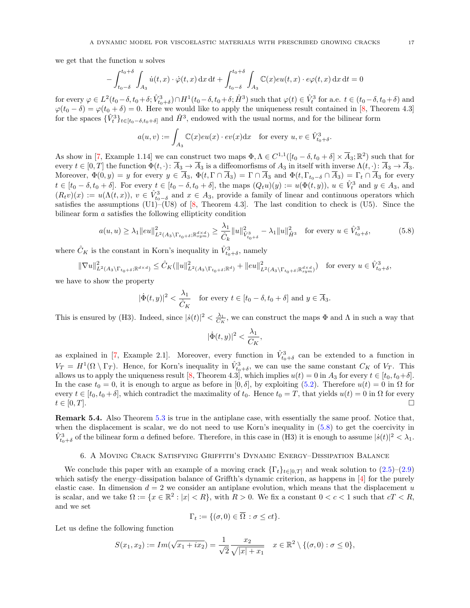we get that the function  $u$  solves

$$
-\int_{t_0-\delta}^{t_0+\delta} \int_{A_3} \dot{u}(t,x) \cdot \dot{\varphi}(t,x) dx dt + \int_{t_0-\delta}^{t_0+\delta} \int_{A_3} \mathbb{C}(x)eu(t,x) \cdot e\varphi(t,x) dx dt = 0
$$

for every  $\varphi \in L^2(t_0 - \delta, t_0 + \delta; \hat{V}_{t_0 + \delta}^3) \cap H^1(t_0 - \delta, t_0 + \delta; \hat{H}^3)$  such that  $\varphi(t) \in \hat{V}_t^3$  for a.e.  $t \in (t_0 - \delta, t_0 + \delta)$  and  $\varphi(t_0 - \delta) = \varphi(t_0 + \delta) = 0$ . Here we would like to apply the uniqueness result contained in [\[8,](#page-18-5) Theorem 4.3] for the spaces  $\{\hat{V}_t^3\}_{t\in[t_0-\delta,t_0+\delta]}$  and  $\hat{H}^3$ , endowed with the usual norms, and for the bilinear form

$$
a(u, v) := \int_{A_3} \mathbb{C}(x)eu(x) \cdot ev(x) \mathrm{d}x \quad \text{for every } u, v \in \hat{V}^3_{t_0 + \delta}.
$$

As show in [\[7,](#page-18-1) Example 1.14] we can construct two maps  $\Phi, \Lambda \in C^{1,1}([t_0 - \delta, t_0 + \delta] \times \overline{A}_3; \mathbb{R}^2)$  such that for every  $t \in [0, T]$  the function  $\Phi(t, \cdot): \overline{A}_3 \to \overline{A}_3$  is a diffeomorfisms of  $A_3$  in itself with inverse  $\Lambda(t, \cdot): \overline{A}_3 \to \overline{A}_3$ . Moreover,  $\Phi(0, y) = y$  for every  $y \in \overline{A}_3$ ,  $\Phi(t, \Gamma \cap \overline{A}_3) = \Gamma \cap \overline{A}_3$  and  $\Phi(t, \Gamma_{t_0-\delta} \cap \overline{A}_3) = \Gamma_t \cap \overline{A}_3$  for every  $t \in [t_0 - \delta, t_0 + \delta]$ . For every  $t \in [t_0 - \delta, t_0 + \delta]$ , the maps  $(Q_t u)(y) := u(\Phi(t, y)), u \in \hat{V}_t^3$  and  $y \in A_3$ , and  $(R_t v)(x) := u(\Lambda(t, x)), v \in \hat{V}_{t_0-\delta}^3$  and  $x \in A_3$ , provide a family of linear and continuous operators which satisfies the assumptions (U1)–(U8) of [\[8,](#page-18-5) Theorem 4.3]. The last condition to check is (U5). Since the bilinear form  $a$  satisfies the following ellipticity condition

<span id="page-16-1"></span>
$$
a(u, u) \ge \lambda_1 \|eu\|_{L^2(A_3 \setminus \Gamma_{t_0 + \delta}; \mathbb{R}^{d \times d}_{sym})}^2 \ge \frac{\lambda_1}{\hat{C}_k} \|u\|_{\hat{V}_{t_0 + \delta}^3}^2 - \lambda_1 \|u\|_{\hat{H}^3}^2 \quad \text{for every } u \in \hat{V}_{t_0 + \delta}^3,\tag{5.8}
$$

,

where  $\hat{C}_K$  is the constant in Korn's inequality in  $\hat{V}^3_{t_0+\delta}$ , namely

$$
\|\nabla u\|_{L^{2}(A_{3}\backslash \Gamma_{t_{0}+\delta};\mathbb{R}^{d\times d})}^{2} \leq \hat{C}_{K}(\|u\|_{L^{2}(A_{3}\backslash \Gamma_{t_{0}+\delta};\mathbb{R}^{d})}^{2} + \|eu\|_{L^{2}(A_{3}\backslash \Gamma_{t_{0}+\delta};\mathbb{R}^{d\times d}_{sym})}^{2}) \text{ for every } u \in \hat{V}_{t_{0}+\delta}^{3}
$$

we have to show the property

$$
|\dot{\Phi}(t,y)|^2 < \frac{\lambda_1}{\hat{C}_K} \quad \text{for every } t \in [t_0 - \delta, t_0 + \delta] \text{ and } y \in \overline{A}_3.
$$

This is ensured by (H3). Indeed, since  $|\dot{s}(t)|^2 < \frac{\lambda_1}{C_K}$ , we can construct the maps  $\Phi$  and  $\Lambda$  in such a way that

$$
|\dot{\Phi}(t,y)|^2 < \frac{\lambda_1}{C_K}
$$

as explained in [\[7,](#page-18-1) Example 2.1]. Moreover, every function in  $\hat{V}_{t_0+\delta}^3$  can be extended to a function in  $V_T = H^1(\Omega \setminus \Gamma_T)$ . Hence, for Korn's inequality in  $\hat{V}^3_{t_0+\delta}$ , we can use the same constant  $C_K$  of  $V_T$ . This allows us to apply the uniqueness result [\[8,](#page-18-5) Theorem 4.3], which implies  $u(t) = 0$  in  $A_3$  for every  $t \in [t_0, t_0 + \delta]$ . In the case  $t_0 = 0$ , it is enough to argue as before in [0,  $\delta$ ], by exploiting [\(5.2\)](#page-13-3). Therefore  $u(t) = 0$  in  $\Omega$  for every  $t \in [t_0, t_0 + \delta]$ , which contradict the maximality of  $t_0$ . Hence  $t_0 = T$ , that yields  $u(t) = 0$  in  $\Omega$  for every  $t \in [0,T].$ 

Remark 5.4. Also Theorem [5.3](#page-15-0) is true in the antiplane case, with essentially the same proof. Notice that, when the displacement is scalar, we do not need to use Korn's inequality in [\(5.8\)](#page-16-1) to get the coercivity in  $\hat{V}_{t_0+\delta}^3$  of the bilinear form a defined before. Therefore, in this case in (H3) it is enough to assume  $|\dot{s}(t)|^2 < \lambda_1$ .

## 6. A Moving Crack Satisfying Griffith's Dynamic Energy–Dissipation Balance

<span id="page-16-0"></span>We conclude this paper with an example of a moving crack  $\{\Gamma_t\}_{t\in[0,T]}$  and weak solution to  $(2.5)-(2.9)$  $(2.5)-(2.9)$ which satisfy the energy–dissipation balance of Griffth's dynamic criterion, as happens in [\[4\]](#page-18-8) for the purely elastic case. In dimension  $d = 2$  we consider an antiplane evolution, which means that the displacement u is scalar, and we take  $\Omega := \{x \in \mathbb{R}^2 : |x| < R\}$ , with  $R > 0$ . We fix a constant  $0 < c < 1$  such that  $cT < R$ , and we set

$$
\Gamma_t := \{ (\sigma, 0) \in \overline{\Omega} : \sigma \le ct \}.
$$

Let us define the following function

$$
S(x_1, x_2) := Im(\sqrt{x_1 + ix_2}) = \frac{1}{\sqrt{2}} \frac{x_2}{\sqrt{|x| + x_1}} \quad x \in \mathbb{R}^2 \setminus \{(\sigma, 0) : \sigma \le 0\},
$$

,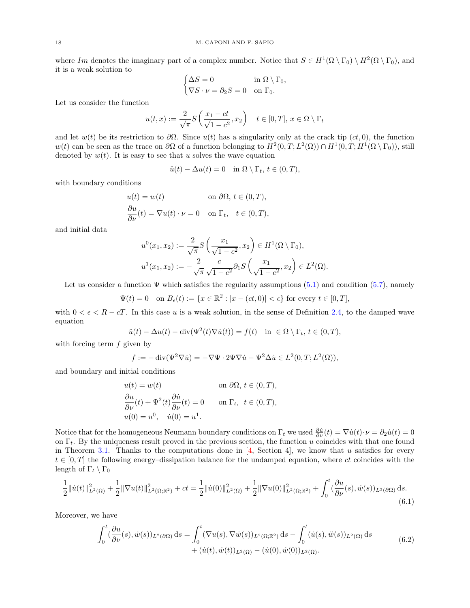where Im denotes the imaginary part of a complex number. Notice that  $S \in H^1(\Omega \setminus \Gamma_0) \setminus H^2(\Omega \setminus \Gamma_0)$ , and it is a weak solution to

$$
\begin{cases} \Delta S = 0 & \text{in } \Omega \setminus \Gamma_0, \\ \nabla S \cdot \nu = \partial_2 S = 0 & \text{on } \Gamma_0. \end{cases}
$$

Let us consider the function

$$
u(t,x) := \frac{2}{\sqrt{\pi}} S\left(\frac{x_1 - ct}{\sqrt{1 - c^2}}, x_2\right) \quad t \in [0, T], \, x \in \Omega \setminus \Gamma_t
$$

and let  $w(t)$  be its restriction to  $\partial\Omega$ . Since  $u(t)$  has a singularity only at the crack tip  $(ct, 0)$ , the function  $w(t)$  can be seen as the trace on  $\partial\Omega$  of a function belonging to  $H^2(0,T;L^2(\Omega)) \cap H^1(0,T;H^1(\Omega \setminus \Gamma_0)),$  still denoted by  $w(t)$ . It is easy to see that u solves the wave equation

$$
\ddot{u}(t) - \Delta u(t) = 0 \quad \text{in } \Omega \setminus \Gamma_t, t \in (0, T),
$$

with boundary conditions

$$
u(t) = w(t) \qquad \text{on } \partial\Omega, t \in (0, T),
$$
  

$$
\frac{\partial u}{\partial \nu}(t) = \nabla u(t) \cdot \nu = 0 \quad \text{on } \Gamma_t, \quad t \in (0, T),
$$

and initial data

$$
u^{0}(x_{1}, x_{2}) := \frac{2}{\sqrt{\pi}} S\left(\frac{x_{1}}{\sqrt{1 - c^{2}}}, x_{2}\right) \in H^{1}(\Omega \setminus \Gamma_{0}),
$$
  

$$
u^{1}(x_{1}, x_{2}) := -\frac{2}{\sqrt{\pi}} \frac{c}{\sqrt{1 - c^{2}}} \partial_{1} S\left(\frac{x_{1}}{\sqrt{1 - c^{2}}}, x_{2}\right) \in L^{2}(\Omega).
$$

Let us consider a function  $\Psi$  which satisfies the regularity assumptions [\(5.1\)](#page-13-1) and condition [\(5.7\)](#page-15-1), namely

$$
\Psi(t) = 0 \quad \text{on } B_{\epsilon}(t) := \{ x \in \mathbb{R}^2 : |x - (ct, 0)| < \epsilon \} \text{ for every } t \in [0, T],
$$

with  $0 < \epsilon < R - cT$ . In this case u is a weak solution, in the sense of Definition [2.4,](#page-4-2) to the damped wave equation

$$
\ddot{u}(t) - \Delta u(t) - \operatorname{div}(\Psi^2(t)\nabla \dot{u}(t)) = f(t) \quad \text{in } \in \Omega \setminus \Gamma_t, \, t \in (0, T),
$$

with forcing term  $f$  given by

$$
f := -\operatorname{div}(\Psi^2 \nabla \dot{u}) = -\nabla \Psi \cdot 2\Psi \nabla \dot{u} - \Psi^2 \Delta \dot{u} \in L^2(0, T; L^2(\Omega)),
$$

and boundary and initial conditions

<span id="page-17-0"></span>
$$
u(t) = w(t) \qquad \text{on } \partial\Omega, t \in (0, T),
$$
  
\n
$$
\frac{\partial u}{\partial \nu}(t) + \Psi^2(t) \frac{\partial \dot{u}}{\partial \nu}(t) = 0 \qquad \text{on } \Gamma_t, t \in (0, T),
$$
  
\n
$$
u(0) = u^0, \quad \dot{u}(0) = u^1.
$$

Notice that for the homogeneous Neumann boundary conditions on  $\Gamma_t$  we used  $\frac{\partial \dot{u}}{\partial \nu}(t) = \nabla \dot{u}(t) \cdot \nu = \partial_2 \dot{u}(t) = 0$ on  $\Gamma_t$ . By the uniqueness result proved in the previous section, the function u coincides with that one found in Theorem [3.1.](#page-4-0) Thanks to the computations done in  $[4,$  Section 4, we know that u satisfies for every  $t \in [0, T]$  the following energy–dissipation balance for the undamped equation, where ct coincides with the length of  $\Gamma_t \setminus \Gamma_0$ 

$$
\frac{1}{2} \|\dot{u}(t)\|_{L^{2}(\Omega)}^{2} + \frac{1}{2} \|\nabla u(t)\|_{L^{2}(\Omega;\mathbb{R}^{2})}^{2} + ct = \frac{1}{2} \|\dot{u}(0)\|_{L^{2}(\Omega)}^{2} + \frac{1}{2} \|\nabla u(0)\|_{L^{2}(\Omega;\mathbb{R}^{2})}^{2} + \int_{0}^{t} (\frac{\partial u}{\partial \nu}(s), \dot{w}(s))_{L^{2}(\partial\Omega)} ds.
$$
\n(6.1)

Moreover, we have

$$
\int_0^t \left(\frac{\partial u}{\partial \nu}(s), \dot{w}(s)\right) L^2(\partial \Omega) ds = \int_0^t \left(\nabla u(s), \nabla \dot{w}(s)\right) L^2(\Omega; \mathbb{R}^2) ds - \int_0^t (\dot{u}(s), \ddot{w}(s)) L^2(\Omega) ds + (\dot{u}(t), \dot{w}(t)) L^2(\Omega) - (\dot{u}(0), \dot{w}(0)) L^2(\Omega).
$$
\n(6.2)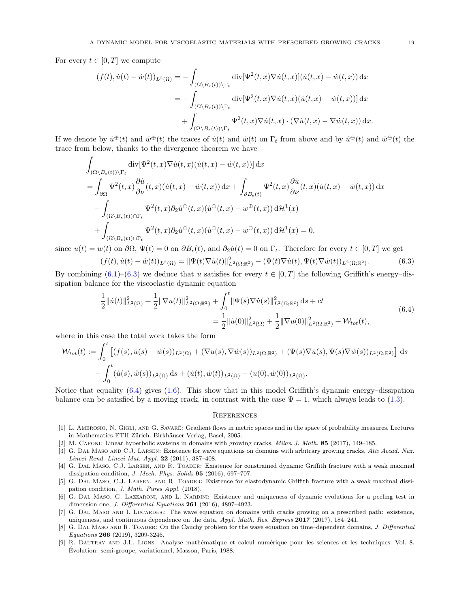For every  $t \in [0, T]$  we compute

$$
(f(t), \dot{u}(t) - \dot{w}(t))_{L^2(\Omega)} = -\int_{(\Omega \backslash B_{\epsilon}(t)) \backslash \Gamma_t} \text{div}[\Psi^2(t, x) \nabla \dot{u}(t, x)](\dot{u}(t, x) - \dot{w}(t, x)) \, dx
$$

$$
= -\int_{(\Omega \backslash B_{\epsilon}(t)) \backslash \Gamma_t} \text{div}[\Psi^2(t, x) \nabla \dot{u}(t, x)(\dot{u}(t, x) - \dot{w}(t, x))] \, dx
$$

$$
+ \int_{(\Omega \backslash B_{\epsilon}(t)) \backslash \Gamma_t} \Psi^2(t, x) \nabla \dot{u}(t, x) \cdot (\nabla \dot{u}(t, x) - \nabla \dot{w}(t, x)) \, dx.
$$

If we denote by  $\dot{u}^{\oplus}(t)$  and  $\dot{w}^{\oplus}(t)$  the traces of  $\dot{u}(t)$  and  $\dot{w}(t)$  on  $\Gamma_t$  from above and by  $\dot{u}^{\ominus}(t)$  and  $\dot{w}^{\ominus}(t)$  the trace from below, thanks to the divergence theorem we have

$$
\int_{(\Omega \backslash B_{\epsilon}(t)) \backslash \Gamma_{t}} \operatorname{div}[\Psi^{2}(t,x) \nabla \dot{u}(t,x)(\dot{u}(t,x) - \dot{w}(t,x))] dx \n= \int_{\partial \Omega} \Psi^{2}(t,x) \frac{\partial \dot{u}}{\partial \nu}(t,x)(\dot{u}(t,x) - \dot{w}(t,x)) dx + \int_{\partial B_{\epsilon}(t)} \Psi^{2}(t,x) \frac{\partial \dot{u}}{\partial \nu}(t,x)(\dot{u}(t,x) - \dot{w}(t,x)) dx \n- \int_{(\Omega \backslash B_{\epsilon}(t)) \cap \Gamma_{t}} \Psi^{2}(t,x) \partial_{2} \dot{u}^{\oplus}(t,x)(\dot{u}^{\oplus}(t,x) - \dot{w}^{\oplus}(t,x)) d\mathcal{H}^{1}(x) \n+ \int_{(\Omega \backslash B_{\epsilon}(t)) \cap \Gamma_{t}} \Psi^{2}(t,x) \partial_{2} \dot{u}^{\ominus}(t,x)(\dot{u}^{\ominus}(t,x) - \dot{w}^{\ominus}(t,x)) d\mathcal{H}^{1}(x) = 0,
$$

since  $u(t) = w(t)$  on  $\partial \Omega$ ,  $\Psi(t) = 0$  on  $\partial B_{\epsilon}(t)$ , and  $\partial_2 \dot{u}(t) = 0$  on  $\Gamma_t$ . Therefore for every  $t \in [0, T]$  we get

$$
(f(t), \dot{u}(t) - \dot{w}(t))_{L^2(\Omega)} = \|\Psi(t)\nabla\dot{u}(t)\|_{L^2(\Omega;\mathbb{R}^2)}^2 - (\Psi(t)\nabla\dot{u}(t), \Psi(t)\nabla\dot{w}(t))_{L^2(\Omega;\mathbb{R}^2)}.
$$
(6.3)

By combining  $(6.1)$ – $(6.3)$  we deduce that u satisfies for every  $t \in [0,T]$  the following Griffith's energy–dissipation balance for the viscoelastic dynamic equation

<span id="page-18-10"></span>
$$
\frac{1}{2} \|\dot{u}(t)\|_{L^{2}(\Omega)}^{2} + \frac{1}{2} \|\nabla u(t)\|_{L^{2}(\Omega;\mathbb{R}^{2})}^{2} + \int_{0}^{t} \|\Psi(s)\nabla\dot{u}(s)\|_{L^{2}(\Omega;\mathbb{R}^{2})}^{2} ds + ct
$$
\n
$$
= \frac{1}{2} \|\dot{u}(0)\|_{L^{2}(\Omega)}^{2} + \frac{1}{2} \|\nabla u(0)\|_{L^{2}(\Omega;\mathbb{R}^{2})}^{2} + \mathcal{W}_{tot}(t),
$$
\n(6.4)

where in this case the total work takes the form

$$
\mathcal{W}_{tot}(t) := \int_0^t \left[ (f(s), \dot{u}(s) - \dot{w}(s))_{L^2(\Omega)} + (\nabla u(s), \nabla \dot{w}(s))_{L^2(\Omega; \mathbb{R}^2)} + (\Psi(s)\nabla \dot{u}(s), \Psi(s)\nabla \dot{w}(s))_{L^2(\Omega; \mathbb{R}^2)} \right] ds
$$
  
- 
$$
\int_0^t (\dot{u}(s), \ddot{w}(s))_{L^2(\Omega)} ds + (\dot{u}(t), \dot{w}(t))_{L^2(\Omega)} - (\dot{u}(0), \dot{w}(0))_{L^2(\Omega)}.
$$

Notice that equality  $(6.4)$  gives  $(1.6)$ . This show that in this model Griffith's dynamic energy–dissipation balance can be satisfied by a moving crack, in contrast with the case  $\Psi = 1$ , which always leads to [\(1.3\)](#page-0-2).

#### <span id="page-18-9"></span>**REFERENCES**

- <span id="page-18-4"></span>[1] L. AMBROSIO, N. GIGLI, AND G. SAVARÉ: Gradient flows in metric spaces and in the space of probability measures. Lectures in Mathematics ETH Zürich. Birkhäuser Verlag, Basel, 2005.
- <span id="page-18-2"></span>[2] M. Caponi: Linear hyperbolic systems in domains with growing cracks, Milan J. Math. 85 (2017), 149–185.
- <span id="page-18-0"></span>[3] G. DAL MASO AND C.J. LARSEN: Existence for wave equations on domains with arbitrary growing cracks, Atti Accad. Naz. Lincei Rend. Lincei Mat. Appl. 22 (2011), 387–408.
- <span id="page-18-8"></span>[4] G. Dal Maso, C.J. Larsen, and R. Toader: Existence for constrained dynamic Griffith fracture with a weak maximal dissipation condition, J. Mech. Phys. Solids 95 (2016), 697–707.
- <span id="page-18-7"></span>[5] G. Dal Maso, C.J. Larsen, and R. Toader: Existence for elastodynamic Griffith fracture with a weak maximal dissipation condition, J. Math. Pures Appl. (2018).
- <span id="page-18-3"></span>[6] G. DAL MASO, G. LAZZARONI, AND L. NARDINI: Existence and uniqueness of dynamic evolutions for a peeling test in dimension one, J. Differential Equations 261 (2016), 4897–4923.
- <span id="page-18-1"></span>[7] G. Dal Maso AND I. LUCARDESI: The wave equation on domains with cracks growing on a prescribed path: existence, uniqueness, and continuous dependence on the data, Appl. Math. Res. Express 2017 (2017), 184-241.
- <span id="page-18-5"></span>[8] G. DAL MASO AND R. TOADER: On the Cauchy problem for the wave equation on time–dependent domains, J. Differential Equations 266 (2019), 3209-3246.
- <span id="page-18-6"></span>[9] R. DAUTRAY AND J.L. LIONS: Analyse mathématique et calcul numérique pour les sciences et les techniques. Vol. 8. Evolution: semi-groupe, variationnel, Masson, Paris, 1988. ´